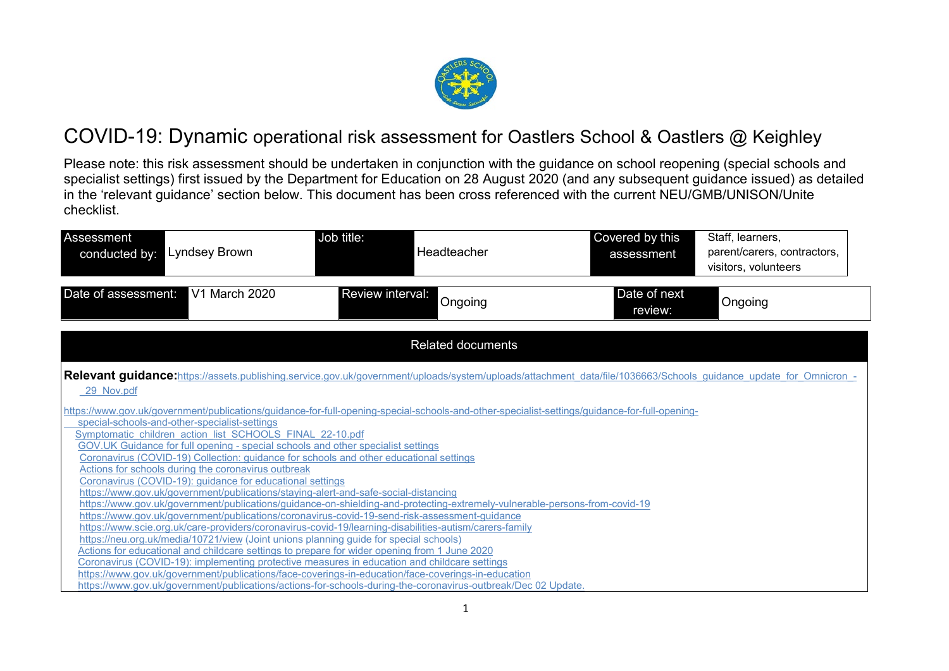

### COVID-19: Dynamic operational risk assessment for Oastlers School & Oastlers @ Keighley

Please note: this risk assessment should be undertaken in conjunction with the guidance on school reopening (special schools and specialist settings) first issued by the Department for Education on 28 August 2020 (and any subsequent guidance issued) as detailed in the 'relevant guidance' section below. This document has been cross referenced with the current NEU/GMB/UNISON/Unite checklist.

| Assessment<br>Lyndsey Brown<br>conducted by:                                                                                                                                                               | Job title:<br>Headteacher                                                                                                                                                                                                   | Covered by this<br>assessment | Staff, learners,<br>parent/carers, contractors,<br>visitors, volunteers |
|------------------------------------------------------------------------------------------------------------------------------------------------------------------------------------------------------------|-----------------------------------------------------------------------------------------------------------------------------------------------------------------------------------------------------------------------------|-------------------------------|-------------------------------------------------------------------------|
| V1 March 2020<br>Date of assessment:                                                                                                                                                                       | Review interval:<br>Ongoing                                                                                                                                                                                                 | Date of next<br>review:       | Ongoing                                                                 |
|                                                                                                                                                                                                            | <b>Related documents</b>                                                                                                                                                                                                    |                               |                                                                         |
| 29 Nov.pdf                                                                                                                                                                                                 | Relevant guidance: https://assets.publishing.service.gov.uk/government/uploads/system/uploads/attachment data/file/1036663/Schools guidance update for Omnicron -                                                           |                               |                                                                         |
| special-schools-and-other-specialist-settings<br>Symptomatic children action list SCHOOLS FINAL 22-10.pdf<br>GOV.UK Guidance for full opening - special schools and other specialist settings              | https://www.gov.uk/government/publications/guidance-for-full-opening-special-schools-and-other-specialist-settings/guidance-for-full-opening-                                                                               |                               |                                                                         |
| Coronavirus (COVID-19) Collection: guidance for schools and other educational settings<br>Actions for schools during the coronavirus outbreak<br>Coronavirus (COVID-19): guidance for educational settings |                                                                                                                                                                                                                             |                               |                                                                         |
| https://www.gov.uk/government/publications/staying-alert-and-safe-social-distancing                                                                                                                        | https://www.gov.uk/government/publications/guidance-on-shielding-and-protecting-extremely-vulnerable-persons-from-covid-19<br>https://www.gov.uk/government/publications/coronavirus-covid-19-send-risk-assessment-guidance |                               |                                                                         |
| https://neu.org.uk/media/10721/view (Joint unions planning guide for special schools)<br>Actions for educational and childcare settings to prepare for wider opening from 1 June 2020                      | https://www.scie.org.uk/care-providers/coronavirus-covid-19/learning-disabilities-autism/carers-family                                                                                                                      |                               |                                                                         |
| Coronavirus (COVID-19): implementing protective measures in education and childcare settings                                                                                                               | https://www.gov.uk/government/publications/face-coverings-in-education/face-coverings-in-education<br>https://www.gov.uk/government/publications/actions-for-schools-during-the-coronavirus-outbreak/Dec 02 Update.         |                               |                                                                         |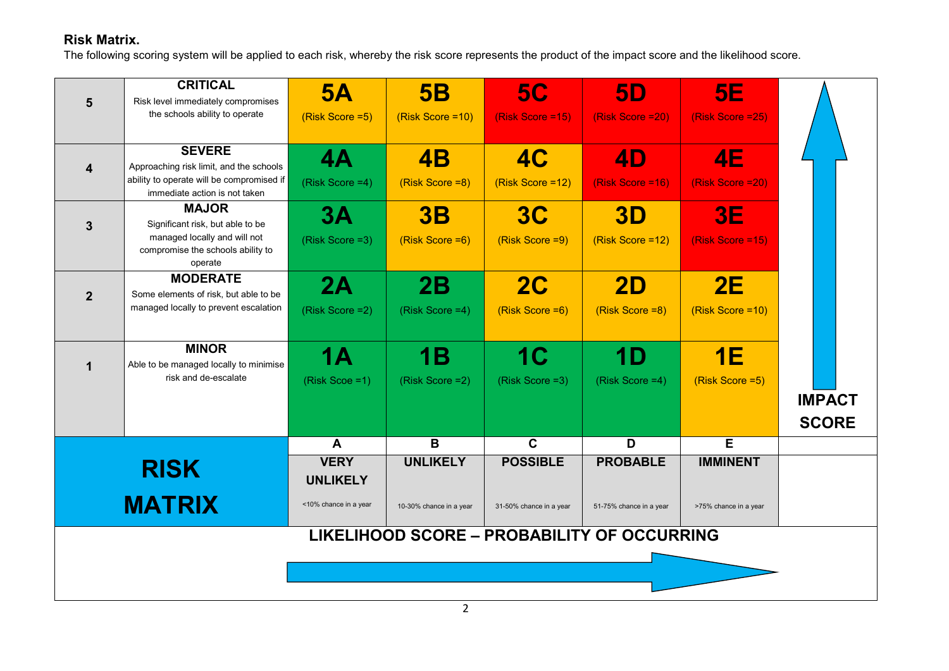#### **Risk Matrix.**

The following scoring system will be applied to each risk, whereby the risk score represents the product of the impact score and the likelihood score.

| 5                       | <b>CRITICAL</b><br>Risk level immediately compromises<br>the schools ability to operate                                                | 5A<br>(Risk Score = 5)         | 5B<br>(Risk Score = 10)      | <b>5C</b><br>(Risk Score = 15)     | <b>5D</b><br>(Risk Score = 20)                     | <b>5E</b><br>(Risk Score = 25) |                               |
|-------------------------|----------------------------------------------------------------------------------------------------------------------------------------|--------------------------------|------------------------------|------------------------------------|----------------------------------------------------|--------------------------------|-------------------------------|
| $\overline{\mathbf{4}}$ | <b>SEVERE</b><br>Approaching risk limit, and the schools<br>ability to operate will be compromised if<br>immediate action is not taken | 4A<br>(Risk Score = 4)         | <b>4B</b><br>(Risk Score =8) | 4C<br>(Risk Score = 12)            | 4D<br>(Risk Score = 16)                            | <b>4E</b><br>(Risk Score = 20) |                               |
| 3                       | <b>MAJOR</b><br>Significant risk, but able to be<br>managed locally and will not<br>compromise the schools ability to<br>operate       | 3A<br>(Risk Score = 3)         | 3B<br>(Risk Score = 6)       | 3C<br>(Risk Score = 9)             | <b>3D</b><br>(Risk Score = 12)                     | <b>3E</b><br>(Risk Score =15)  |                               |
| $\overline{2}$          | <b>MODERATE</b><br>Some elements of risk, but able to be<br>managed locally to prevent escalation                                      | 2A<br>(Risk Score = 2)         | 2B<br>(Risk Score = 4)       | 2C<br>(Risk Score = 6)             | <b>2D</b><br>(Risk Score =8)                       | 2E<br>(Risk Score = 10)        |                               |
| $\mathbf 1$             | <b>MINOR</b><br>Able to be managed locally to minimise<br>risk and de-escalate                                                         | <b>1A</b><br>(Risk Scoe = 1)   | 1B<br>(Risk Score = 2)       | 1 <sub>C</sub><br>(Risk Score = 3) | 1D<br>(Risk Score =4)                              | 1E<br>(Risk Score = 5)         | <b>IMPACT</b><br><b>SCORE</b> |
|                         |                                                                                                                                        | $\mathbf{A}$                   | B                            | $\mathbf C$                        | D                                                  | $\overline{E}$                 |                               |
|                         | <b>RISK</b>                                                                                                                            | <b>VERY</b><br><b>UNLIKELY</b> | <b>UNLIKELY</b>              | <b>POSSIBLE</b>                    | <b>PROBABLE</b>                                    | <b>IMMINENT</b>                |                               |
|                         | <b>MATRIX</b>                                                                                                                          | <10% chance in a year          | 10-30% chance in a year      | 31-50% chance in a year            | 51-75% chance in a year                            | >75% chance in a year          |                               |
|                         |                                                                                                                                        |                                |                              |                                    | <b>LIKELIHOOD SCORE - PROBABILITY OF OCCURRING</b> |                                |                               |
|                         |                                                                                                                                        |                                |                              |                                    |                                                    |                                |                               |
|                         |                                                                                                                                        |                                |                              |                                    |                                                    |                                |                               |
|                         |                                                                                                                                        |                                |                              |                                    |                                                    |                                |                               |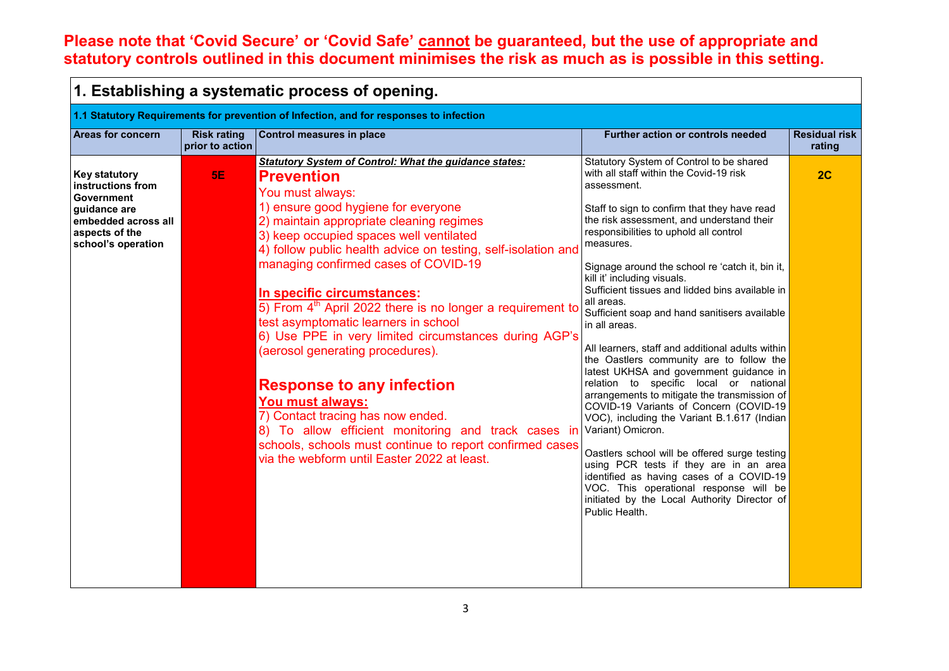### **Please note that 'Covid Secure' or 'Covid Safe' cannot be guaranteed, but the use of appropriate and statutory controls outlined in this document minimises the risk as much as is possible in this setting.**

| 1. Establishing a systematic process of opening.                                                                                       |                                       |                                                                                                                                                                                                                                                                                                                                                                                                                                                                                                                                                                                                                                                                                                                                                                                                                                                 |                                                                                                                                                                                                                                                                                                                                                                                                                                                                                                                                                                                                                                                                                                                                                                                                                                                                                                                                                                                                                                                                                   |                                |
|----------------------------------------------------------------------------------------------------------------------------------------|---------------------------------------|-------------------------------------------------------------------------------------------------------------------------------------------------------------------------------------------------------------------------------------------------------------------------------------------------------------------------------------------------------------------------------------------------------------------------------------------------------------------------------------------------------------------------------------------------------------------------------------------------------------------------------------------------------------------------------------------------------------------------------------------------------------------------------------------------------------------------------------------------|-----------------------------------------------------------------------------------------------------------------------------------------------------------------------------------------------------------------------------------------------------------------------------------------------------------------------------------------------------------------------------------------------------------------------------------------------------------------------------------------------------------------------------------------------------------------------------------------------------------------------------------------------------------------------------------------------------------------------------------------------------------------------------------------------------------------------------------------------------------------------------------------------------------------------------------------------------------------------------------------------------------------------------------------------------------------------------------|--------------------------------|
|                                                                                                                                        |                                       | 1.1 Statutory Requirements for prevention of Infection, and for responses to infection                                                                                                                                                                                                                                                                                                                                                                                                                                                                                                                                                                                                                                                                                                                                                          |                                                                                                                                                                                                                                                                                                                                                                                                                                                                                                                                                                                                                                                                                                                                                                                                                                                                                                                                                                                                                                                                                   |                                |
| <b>Areas for concern</b>                                                                                                               | <b>Risk rating</b><br>prior to action | <b>Control measures in place</b>                                                                                                                                                                                                                                                                                                                                                                                                                                                                                                                                                                                                                                                                                                                                                                                                                | Further action or controls needed                                                                                                                                                                                                                                                                                                                                                                                                                                                                                                                                                                                                                                                                                                                                                                                                                                                                                                                                                                                                                                                 | <b>Residual risk</b><br>rating |
| <b>Key statutory</b><br>instructions from<br>Government<br>quidance are<br>embedded across all<br>aspects of the<br>school's operation | <b>5E</b>                             | <b>Statutory System of Control: What the guidance states:</b><br><b>Prevention</b><br>You must always:<br>1) ensure good hygiene for everyone<br>2) maintain appropriate cleaning regimes<br>3) keep occupied spaces well ventilated<br>4) follow public health advice on testing, self-isolation and<br>managing confirmed cases of COVID-19<br>In specific circumstances:<br>5) From $4th$ April 2022 there is no longer a requirement to<br>test asymptomatic learners in school<br>6) Use PPE in very limited circumstances during AGP's<br>(aerosol generating procedures).<br><b>Response to any infection</b><br>You must always:<br>7) Contact tracing has now ended.<br>8) To allow efficient monitoring and track cases in<br>schools, schools must continue to report confirmed cases<br>via the webform until Easter 2022 at least. | Statutory System of Control to be shared<br>with all staff within the Covid-19 risk<br>assessment.<br>Staff to sign to confirm that they have read<br>the risk assessment, and understand their<br>responsibilities to uphold all control<br>measures.<br>Signage around the school re 'catch it, bin it,<br>kill it' including visuals.<br>Sufficient tissues and lidded bins available in<br>all areas.<br>Sufficient soap and hand sanitisers available<br>in all areas.<br>All learners, staff and additional adults within<br>the Oastlers community are to follow the<br>latest UKHSA and government guidance in<br>relation to specific local or national<br>arrangements to mitigate the transmission of<br>COVID-19 Variants of Concern (COVID-19<br>VOC), including the Variant B.1.617 (Indian<br>Variant) Omicron.<br>Oastlers school will be offered surge testing<br>using PCR tests if they are in an area<br>identified as having cases of a COVID-19<br>VOC. This operational response will be<br>initiated by the Local Authority Director of<br>Public Health. | 2C                             |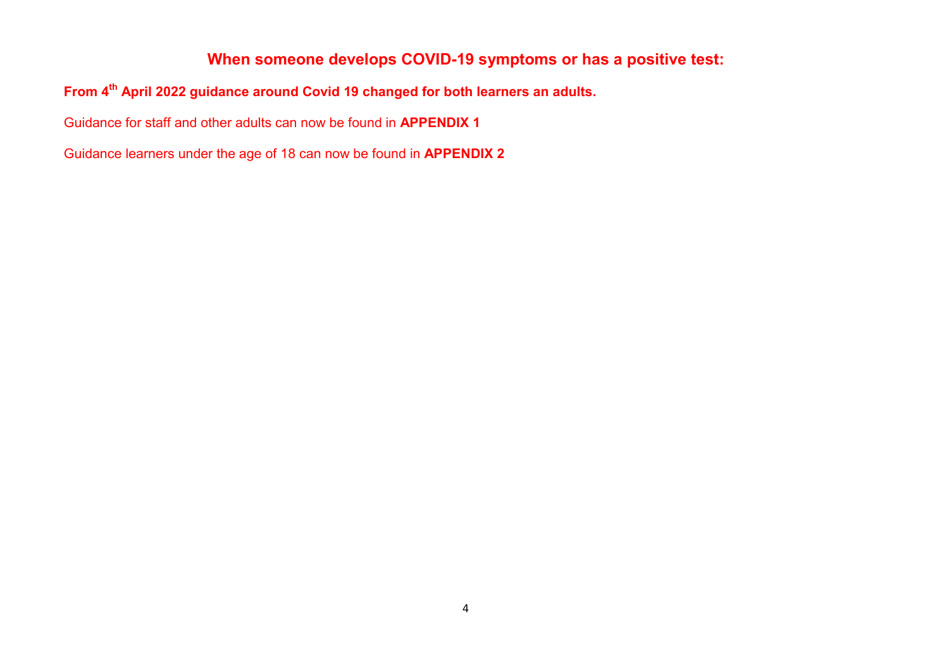### **When someone develops COVID-19 symptoms or has a positive test:**

### **From 4th April 2022 guidance around Covid 19 changed for both learners an adults.**

Guidance for staff and other adults can now be found in **APPENDIX 1**

Guidance learners under the age of 18 can now be found in **APPENDIX 2**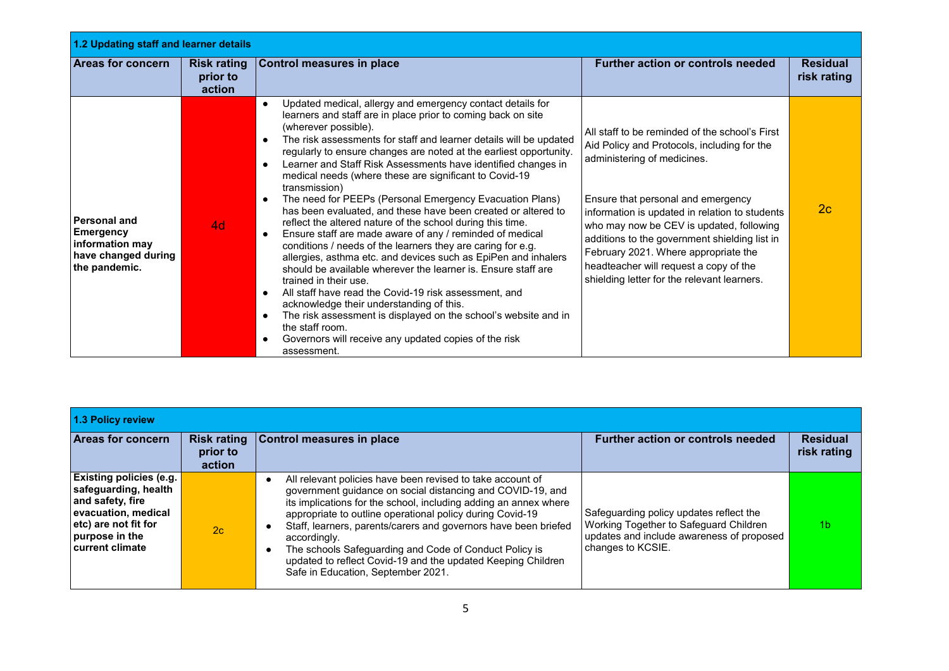| 1.2 Updating staff and learner details                                                             |                                          |                                                                                                                                                                                                                                                                                                                                                                                                                                                                                                                                                                                                                                                                                                                                                                                                                                                                                                                                                                                                                                                                                                                                                                                                                                                                                                         |                                                                                                                                                                                                                                                                                                                                                                                                                                                    |                                |  |
|----------------------------------------------------------------------------------------------------|------------------------------------------|---------------------------------------------------------------------------------------------------------------------------------------------------------------------------------------------------------------------------------------------------------------------------------------------------------------------------------------------------------------------------------------------------------------------------------------------------------------------------------------------------------------------------------------------------------------------------------------------------------------------------------------------------------------------------------------------------------------------------------------------------------------------------------------------------------------------------------------------------------------------------------------------------------------------------------------------------------------------------------------------------------------------------------------------------------------------------------------------------------------------------------------------------------------------------------------------------------------------------------------------------------------------------------------------------------|----------------------------------------------------------------------------------------------------------------------------------------------------------------------------------------------------------------------------------------------------------------------------------------------------------------------------------------------------------------------------------------------------------------------------------------------------|--------------------------------|--|
| <b>Areas for concern</b>                                                                           | <b>Risk rating</b><br>prior to<br>action | <b>Control measures in place</b>                                                                                                                                                                                                                                                                                                                                                                                                                                                                                                                                                                                                                                                                                                                                                                                                                                                                                                                                                                                                                                                                                                                                                                                                                                                                        | <b>Further action or controls needed</b>                                                                                                                                                                                                                                                                                                                                                                                                           | <b>Residual</b><br>risk rating |  |
| <b>Personal and</b><br><b>Emergency</b><br>information may<br>have changed during<br>the pandemic. | 4d                                       | Updated medical, allergy and emergency contact details for<br>$\bullet$<br>learners and staff are in place prior to coming back on site<br>(wherever possible).<br>The risk assessments for staff and learner details will be updated<br>$\bullet$<br>regularly to ensure changes are noted at the earliest opportunity.<br>Learner and Staff Risk Assessments have identified changes in<br>$\bullet$<br>medical needs (where these are significant to Covid-19<br>transmission)<br>The need for PEEPs (Personal Emergency Evacuation Plans)<br>$\bullet$<br>has been evaluated, and these have been created or altered to<br>reflect the altered nature of the school during this time.<br>Ensure staff are made aware of any / reminded of medical<br>$\bullet$<br>conditions / needs of the learners they are caring for e.g.<br>allergies, asthma etc. and devices such as EpiPen and inhalers<br>should be available wherever the learner is. Ensure staff are<br>trained in their use.<br>All staff have read the Covid-19 risk assessment, and<br>$\bullet$<br>acknowledge their understanding of this.<br>The risk assessment is displayed on the school's website and in<br>$\bullet$<br>the staff room.<br>Governors will receive any updated copies of the risk<br>$\bullet$<br>assessment. | All staff to be reminded of the school's First<br>Aid Policy and Protocols, including for the<br>administering of medicines.<br>Ensure that personal and emergency<br>information is updated in relation to students<br>who may now be CEV is updated, following<br>additions to the government shielding list in<br>February 2021. Where appropriate the<br>headteacher will request a copy of the<br>shielding letter for the relevant learners. | 2c                             |  |

| 1.3 Policy review                                                                                                                                                     |                    |                                                                                                                                                                                                                                                                                                                                                                                                                                                                                                              |                                                                                                                                                     |                                |
|-----------------------------------------------------------------------------------------------------------------------------------------------------------------------|--------------------|--------------------------------------------------------------------------------------------------------------------------------------------------------------------------------------------------------------------------------------------------------------------------------------------------------------------------------------------------------------------------------------------------------------------------------------------------------------------------------------------------------------|-----------------------------------------------------------------------------------------------------------------------------------------------------|--------------------------------|
| <b>Areas for concern</b>                                                                                                                                              | prior to<br>action | Risk rating Control measures in place                                                                                                                                                                                                                                                                                                                                                                                                                                                                        | <b>Further action or controls needed</b>                                                                                                            | <b>Residual</b><br>risk rating |
| <b>Existing policies (e.g.</b><br>safeguarding, health<br>and safety, fire<br>evacuation, medical<br>etc) are not fit for<br>purpose in the<br><b>current climate</b> | 2c                 | All relevant policies have been revised to take account of<br>government guidance on social distancing and COVID-19, and<br>its implications for the school, including adding an annex where<br>appropriate to outline operational policy during Covid-19<br>Staff, learners, parents/carers and governors have been briefed<br>accordingly.<br>The schools Safeguarding and Code of Conduct Policy is<br>updated to reflect Covid-19 and the updated Keeping Children<br>Safe in Education, September 2021. | Safeguarding policy updates reflect the<br>Working Together to Safeguard Children<br>updates and include awareness of proposed<br>changes to KCSIE. | 1b                             |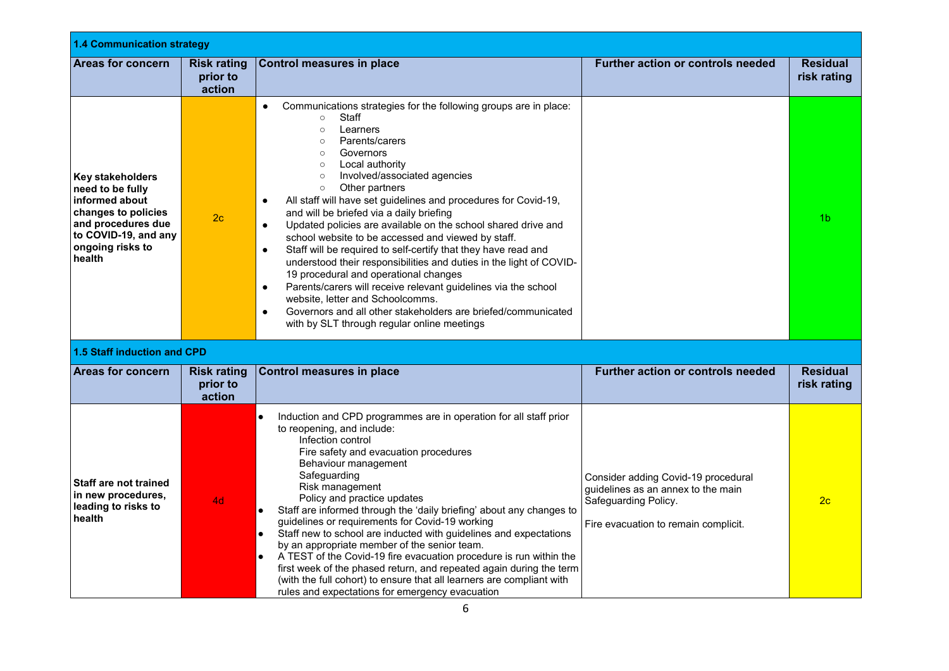| <b>1.4 Communication strategy</b>                                                                                                                         |                                          |                                                                                                                                                                                                                                                                                                                                                                                                                                                                                                                                                                                                                                                                                                                                                                                                                                                                                                                                                                                                    |                                                                                                                                           |                                |
|-----------------------------------------------------------------------------------------------------------------------------------------------------------|------------------------------------------|----------------------------------------------------------------------------------------------------------------------------------------------------------------------------------------------------------------------------------------------------------------------------------------------------------------------------------------------------------------------------------------------------------------------------------------------------------------------------------------------------------------------------------------------------------------------------------------------------------------------------------------------------------------------------------------------------------------------------------------------------------------------------------------------------------------------------------------------------------------------------------------------------------------------------------------------------------------------------------------------------|-------------------------------------------------------------------------------------------------------------------------------------------|--------------------------------|
| <b>Areas for concern</b>                                                                                                                                  | <b>Risk rating</b><br>prior to<br>action | <b>Control measures in place</b>                                                                                                                                                                                                                                                                                                                                                                                                                                                                                                                                                                                                                                                                                                                                                                                                                                                                                                                                                                   | <b>Further action or controls needed</b>                                                                                                  | <b>Residual</b><br>risk rating |
| Key stakeholders<br>need to be fully<br>informed about<br>changes to policies<br>and procedures due<br>to COVID-19, and any<br>ongoing risks to<br>health | 2 <sub>c</sub>                           | Communications strategies for the following groups are in place:<br>$\bullet$<br>Staff<br>$\circ$<br>Learners<br>$\circ$<br>Parents/carers<br>$\circ$<br>Governors<br>$\circ$<br>Local authority<br>$\circ$<br>Involved/associated agencies<br>$\circ$<br>Other partners<br>$\circ$<br>All staff will have set guidelines and procedures for Covid-19,<br>$\bullet$<br>and will be briefed via a daily briefing<br>Updated policies are available on the school shared drive and<br>$\bullet$<br>school website to be accessed and viewed by staff.<br>Staff will be required to self-certify that they have read and<br>$\bullet$<br>understood their responsibilities and duties in the light of COVID-<br>19 procedural and operational changes<br>Parents/carers will receive relevant guidelines via the school<br>$\bullet$<br>website, letter and Schoolcomms.<br>Governors and all other stakeholders are briefed/communicated<br>$\bullet$<br>with by SLT through regular online meetings |                                                                                                                                           | 1 <sub>b</sub>                 |
| <b>1.5 Staff induction and CPD</b>                                                                                                                        |                                          |                                                                                                                                                                                                                                                                                                                                                                                                                                                                                                                                                                                                                                                                                                                                                                                                                                                                                                                                                                                                    |                                                                                                                                           |                                |
| <b>Areas for concern</b>                                                                                                                                  | <b>Risk rating</b><br>prior to<br>action | <b>Control measures in place</b>                                                                                                                                                                                                                                                                                                                                                                                                                                                                                                                                                                                                                                                                                                                                                                                                                                                                                                                                                                   | Further action or controls needed                                                                                                         | <b>Residual</b><br>risk rating |
| <b>Staff are not trained</b><br>in new procedures,<br>leading to risks to<br>health                                                                       | 4d                                       | Induction and CPD programmes are in operation for all staff prior<br>$\bullet$<br>to reopening, and include:<br>Infection control<br>Fire safety and evacuation procedures<br>Behaviour management<br>Safeguarding<br>Risk management<br>Policy and practice updates<br>Staff are informed through the 'daily briefing' about any changes to<br>$\bullet$<br>guidelines or requirements for Covid-19 working<br>Staff new to school are inducted with guidelines and expectations<br>$\bullet$<br>by an appropriate member of the senior team.<br>A TEST of the Covid-19 fire evacuation procedure is run within the<br>$\bullet$<br>first week of the phased return, and repeated again during the term<br>(with the full cohort) to ensure that all learners are compliant with<br>rules and expectations for emergency evacuation                                                                                                                                                               | Consider adding Covid-19 procedural<br>guidelines as an annex to the main<br>Safeguarding Policy.<br>Fire evacuation to remain complicit. | 2 <sub>c</sub>                 |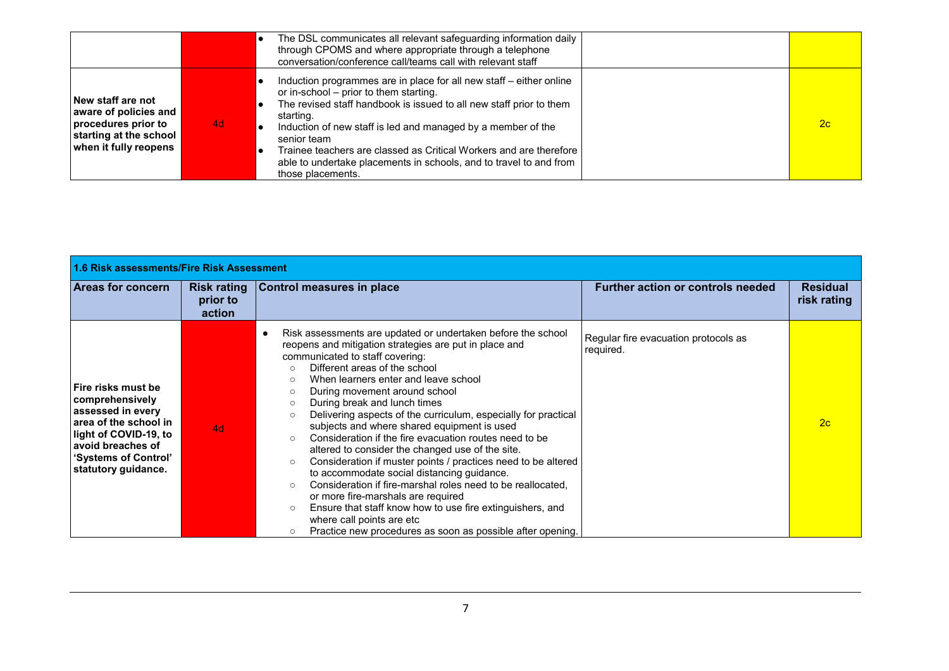|                                                                                                                      |    | The DSL communicates all relevant safeguarding information daily<br>through CPOMS and where appropriate through a telephone<br>conversation/conference call/teams call with relevant staff                                                                                                                                                                                                                                                        |    |
|----------------------------------------------------------------------------------------------------------------------|----|---------------------------------------------------------------------------------------------------------------------------------------------------------------------------------------------------------------------------------------------------------------------------------------------------------------------------------------------------------------------------------------------------------------------------------------------------|----|
| New staff are not<br>aware of policies and<br>procedures prior to<br>starting at the school<br>when it fully reopens | 4d | Induction programmes are in place for all new staff – either online<br>or in-school – prior to them starting.<br>The revised staff handbook is issued to all new staff prior to them<br>starting.<br>Induction of new staff is led and managed by a member of the<br>senior team<br>Trainee teachers are classed as Critical Workers and are therefore<br>able to undertake placements in schools, and to travel to and from<br>those placements. | 2c |

| 1.6 Risk assessments/Fire Risk Assessment                                                                                                                                        |                                          |                                                                                                                                                                                                                                                                                                                                                                                                                                                                                                                                                                                                                                                                                                                                                                                                                                                                                                                                                                                       |                                                   |                                |  |
|----------------------------------------------------------------------------------------------------------------------------------------------------------------------------------|------------------------------------------|---------------------------------------------------------------------------------------------------------------------------------------------------------------------------------------------------------------------------------------------------------------------------------------------------------------------------------------------------------------------------------------------------------------------------------------------------------------------------------------------------------------------------------------------------------------------------------------------------------------------------------------------------------------------------------------------------------------------------------------------------------------------------------------------------------------------------------------------------------------------------------------------------------------------------------------------------------------------------------------|---------------------------------------------------|--------------------------------|--|
| Areas for concern                                                                                                                                                                | <b>Risk rating</b><br>prior to<br>action | <b>Control measures in place</b>                                                                                                                                                                                                                                                                                                                                                                                                                                                                                                                                                                                                                                                                                                                                                                                                                                                                                                                                                      | <b>Further action or controls needed</b>          | <b>Residual</b><br>risk rating |  |
| Fire risks must be<br>comprehensively<br>assessed in every<br>area of the school in<br>light of COVID-19, to<br>avoid breaches of<br>'Systems of Control'<br>statutory guidance. | 4d                                       | Risk assessments are updated or undertaken before the school<br>٠<br>reopens and mitigation strategies are put in place and<br>communicated to staff covering:<br>Different areas of the school<br>$\circ$<br>When learners enter and leave school<br>$\circ$<br>During movement around school<br>$\circ$<br>During break and lunch times<br>$\circ$<br>Delivering aspects of the curriculum, especially for practical<br>subjects and where shared equipment is used<br>Consideration if the fire evacuation routes need to be<br>altered to consider the changed use of the site.<br>Consideration if muster points / practices need to be altered<br>$\circ$<br>to accommodate social distancing guidance.<br>Consideration if fire-marshal roles need to be reallocated.<br>$\circ$<br>or more fire-marshals are required<br>Ensure that staff know how to use fire extinguishers, and<br>where call points are etc<br>Practice new procedures as soon as possible after opening. | Regular fire evacuation protocols as<br>required. | 2c                             |  |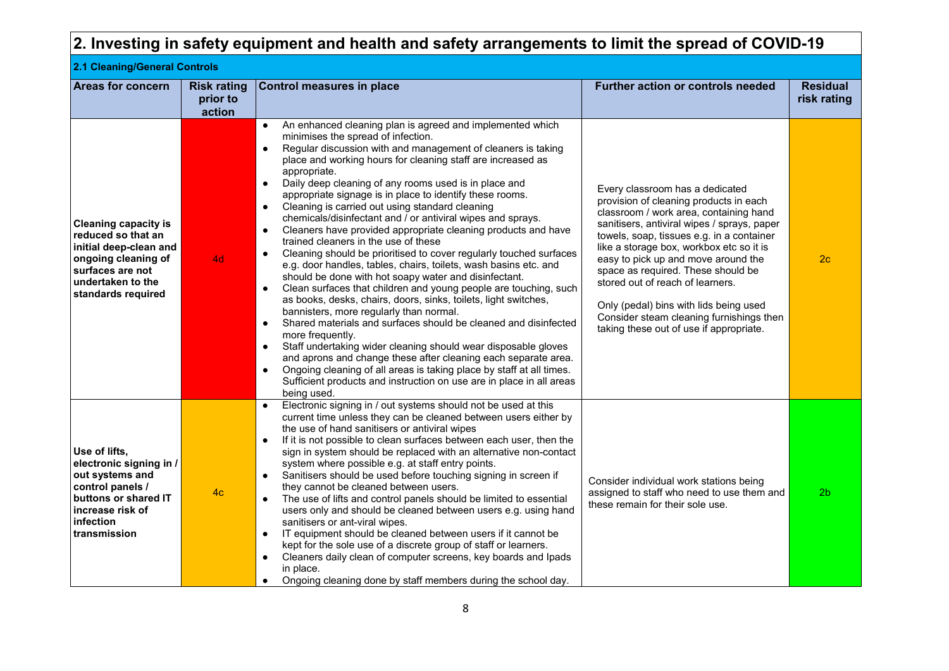|                                                                                                                                                                   |                                          | $ 2$ . Investing in safety equipment and health and safety arrangements to limit the spread of COVID-19 $\,$                                                                                                                                                                                                                                                                                                                                                                                                                                                                                                                                                                                                                                                                                                                                                                                                                                                                                                                                                                                                                                                                                                                                                                                                                                                                                                                                                                                                    |                                                                                                                                                                                                                                                                                                                                                                                                                                                                                                               |                                |
|-------------------------------------------------------------------------------------------------------------------------------------------------------------------|------------------------------------------|-----------------------------------------------------------------------------------------------------------------------------------------------------------------------------------------------------------------------------------------------------------------------------------------------------------------------------------------------------------------------------------------------------------------------------------------------------------------------------------------------------------------------------------------------------------------------------------------------------------------------------------------------------------------------------------------------------------------------------------------------------------------------------------------------------------------------------------------------------------------------------------------------------------------------------------------------------------------------------------------------------------------------------------------------------------------------------------------------------------------------------------------------------------------------------------------------------------------------------------------------------------------------------------------------------------------------------------------------------------------------------------------------------------------------------------------------------------------------------------------------------------------|---------------------------------------------------------------------------------------------------------------------------------------------------------------------------------------------------------------------------------------------------------------------------------------------------------------------------------------------------------------------------------------------------------------------------------------------------------------------------------------------------------------|--------------------------------|
| 2.1 Cleaning/General Controls                                                                                                                                     |                                          |                                                                                                                                                                                                                                                                                                                                                                                                                                                                                                                                                                                                                                                                                                                                                                                                                                                                                                                                                                                                                                                                                                                                                                                                                                                                                                                                                                                                                                                                                                                 |                                                                                                                                                                                                                                                                                                                                                                                                                                                                                                               |                                |
| <b>Areas for concern</b>                                                                                                                                          | <b>Risk rating</b><br>prior to<br>action | <b>Control measures in place</b>                                                                                                                                                                                                                                                                                                                                                                                                                                                                                                                                                                                                                                                                                                                                                                                                                                                                                                                                                                                                                                                                                                                                                                                                                                                                                                                                                                                                                                                                                | <b>Further action or controls needed</b>                                                                                                                                                                                                                                                                                                                                                                                                                                                                      | <b>Residual</b><br>risk rating |
| <b>Cleaning capacity is</b><br>reduced so that an<br>initial deep-clean and<br>ongoing cleaning of<br>surfaces are not<br>undertaken to the<br>standards required | 4d                                       | An enhanced cleaning plan is agreed and implemented which<br>$\bullet$<br>minimises the spread of infection.<br>Regular discussion with and management of cleaners is taking<br>$\bullet$<br>place and working hours for cleaning staff are increased as<br>appropriate.<br>Daily deep cleaning of any rooms used is in place and<br>$\bullet$<br>appropriate signage is in place to identify these rooms.<br>Cleaning is carried out using standard cleaning<br>$\bullet$<br>chemicals/disinfectant and / or antiviral wipes and sprays.<br>Cleaners have provided appropriate cleaning products and have<br>$\bullet$<br>trained cleaners in the use of these<br>Cleaning should be prioritised to cover regularly touched surfaces<br>$\bullet$<br>e.g. door handles, tables, chairs, toilets, wash basins etc. and<br>should be done with hot soapy water and disinfectant.<br>Clean surfaces that children and young people are touching, such<br>$\bullet$<br>as books, desks, chairs, doors, sinks, toilets, light switches,<br>bannisters, more regularly than normal.<br>Shared materials and surfaces should be cleaned and disinfected<br>$\bullet$<br>more frequently.<br>Staff undertaking wider cleaning should wear disposable gloves<br>$\bullet$<br>and aprons and change these after cleaning each separate area.<br>Ongoing cleaning of all areas is taking place by staff at all times.<br>$\bullet$<br>Sufficient products and instruction on use are in place in all areas<br>being used. | Every classroom has a dedicated<br>provision of cleaning products in each<br>classroom / work area, containing hand<br>sanitisers, antiviral wipes / sprays, paper<br>towels, soap, tissues e.g. in a container<br>like a storage box, workbox etc so it is<br>easy to pick up and move around the<br>space as required. These should be<br>stored out of reach of learners.<br>Only (pedal) bins with lids being used<br>Consider steam cleaning furnishings then<br>taking these out of use if appropriate. | 2c                             |
| Use of lifts,                                                                                                                                                     |                                          | Electronic signing in / out systems should not be used at this<br>$\bullet$<br>current time unless they can be cleaned between users either by<br>the use of hand sanitisers or antiviral wipes<br>If it is not possible to clean surfaces between each user, then the<br>$\bullet$<br>sign in system should be replaced with an alternative non-contact                                                                                                                                                                                                                                                                                                                                                                                                                                                                                                                                                                                                                                                                                                                                                                                                                                                                                                                                                                                                                                                                                                                                                        |                                                                                                                                                                                                                                                                                                                                                                                                                                                                                                               |                                |
| electronic signing in /<br>out systems and<br>control panels /<br>huttone or charod IT                                                                            | 4 <sub>c</sub>                           | system where possible e.g. at staff entry points.<br>Sanitisers should be used before touching signing in screen if<br>they cannot be cleaned between users.<br>The use of lifts and control panols should be limited to osseptial                                                                                                                                                                                                                                                                                                                                                                                                                                                                                                                                                                                                                                                                                                                                                                                                                                                                                                                                                                                                                                                                                                                                                                                                                                                                              | Consider individual work stations being<br>assigned to staff who need to use them and                                                                                                                                                                                                                                                                                                                                                                                                                         | 2 <sub>b</sub>                 |

these remain for their sole use.

● The use of lifts and control panels should be limited to essential users only and should be cleaned between users e.g. using hand

● IT equipment should be cleaned between users if it cannot be kept for the sole use of a discrete group of staff or learners. ● Cleaners daily clean of computer screens, key boards and Ipads

● Ongoing cleaning done by staff members during the school day.

sanitisers or ant-viral wipes.

in place.

**buttons or shared IT increase risk of infection transmission**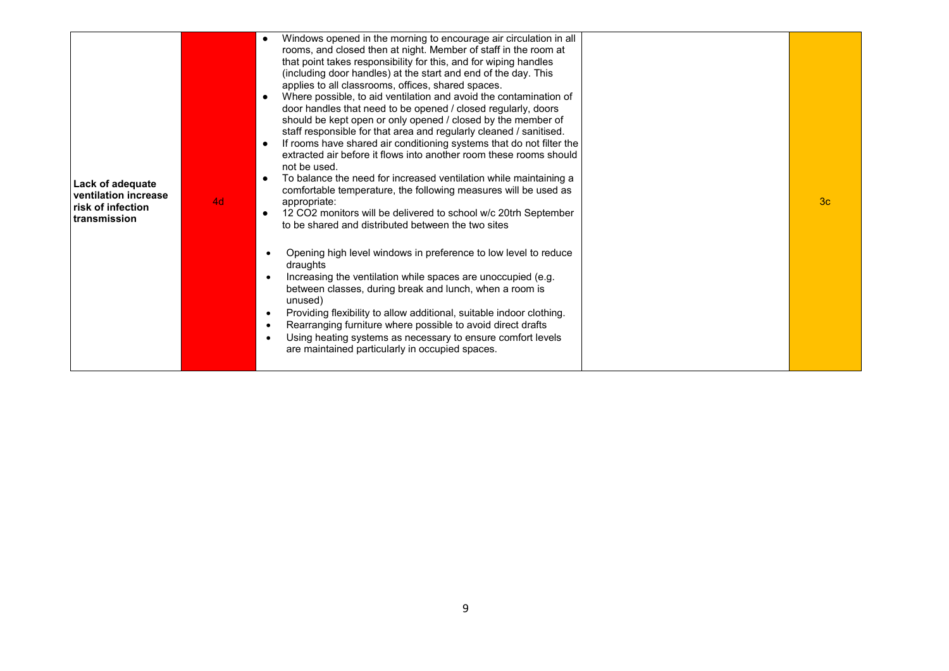| Lack of adequate<br>ventilation increase<br>risk of infection<br>transmission | 4d | Windows opened in the morning to encourage air circulation in all<br>rooms, and closed then at night. Member of staff in the room at<br>that point takes responsibility for this, and for wiping handles<br>(including door handles) at the start and end of the day. This<br>applies to all classrooms, offices, shared spaces.<br>Where possible, to aid ventilation and avoid the contamination of<br>door handles that need to be opened / closed regularly, doors<br>should be kept open or only opened / closed by the member of<br>staff responsible for that area and regularly cleaned / sanitised.<br>If rooms have shared air conditioning systems that do not filter the<br>extracted air before it flows into another room these rooms should<br>not be used.<br>To balance the need for increased ventilation while maintaining a<br>$\bullet$<br>comfortable temperature, the following measures will be used as<br>appropriate:<br>12 CO2 monitors will be delivered to school w/c 20trh September<br>to be shared and distributed between the two sites<br>Opening high level windows in preference to low level to reduce<br>draughts<br>Increasing the ventilation while spaces are unoccupied (e.g.<br>between classes, during break and lunch, when a room is<br>unused)<br>Providing flexibility to allow additional, suitable indoor clothing.<br>Rearranging furniture where possible to avoid direct drafts | 3 <sub>c</sub> |
|-------------------------------------------------------------------------------|----|--------------------------------------------------------------------------------------------------------------------------------------------------------------------------------------------------------------------------------------------------------------------------------------------------------------------------------------------------------------------------------------------------------------------------------------------------------------------------------------------------------------------------------------------------------------------------------------------------------------------------------------------------------------------------------------------------------------------------------------------------------------------------------------------------------------------------------------------------------------------------------------------------------------------------------------------------------------------------------------------------------------------------------------------------------------------------------------------------------------------------------------------------------------------------------------------------------------------------------------------------------------------------------------------------------------------------------------------------------------------------------------------------------------------------------------|----------------|
|                                                                               |    | Using heating systems as necessary to ensure comfort levels<br>are maintained particularly in occupied spaces.                                                                                                                                                                                                                                                                                                                                                                                                                                                                                                                                                                                                                                                                                                                                                                                                                                                                                                                                                                                                                                                                                                                                                                                                                                                                                                                       |                |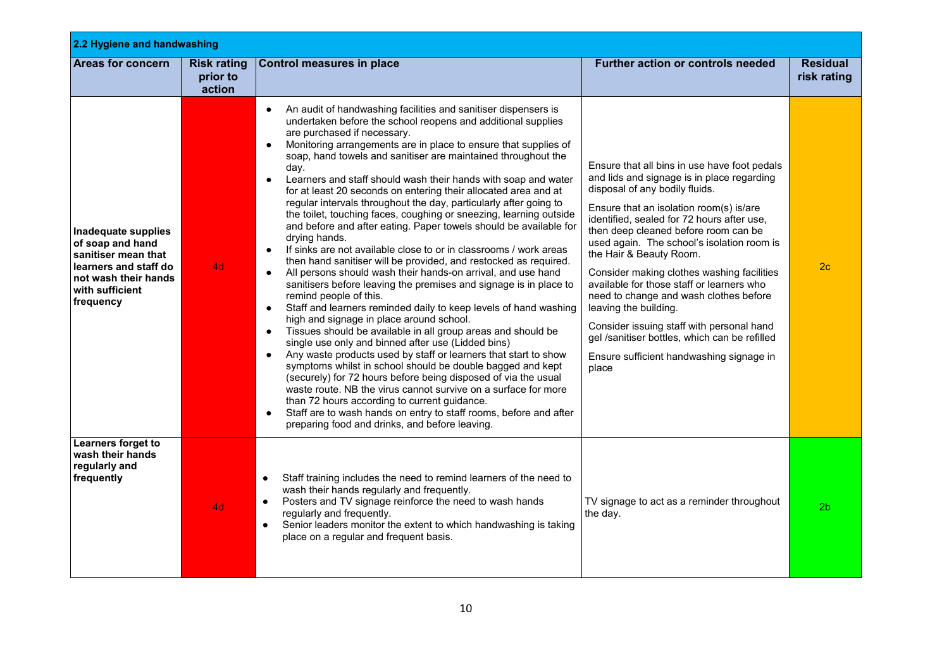| 2.2 Hygiene and handwashing                                                                                                                     |                                          |                                                                                                                                                                                                                                                                                                                                                                                                                                                                                                                                                                                                                                                                                                                                                                                                                                                                                                                                                                                                                                                                                                                                                                                                                                                                                                                                                                                                                                                                                                                                                                                                                                                                                                                               |                                                                                                                                                                                                                                                                                                                                                                                                                                                                                                                                                                                                                                                         |                                |
|-------------------------------------------------------------------------------------------------------------------------------------------------|------------------------------------------|-------------------------------------------------------------------------------------------------------------------------------------------------------------------------------------------------------------------------------------------------------------------------------------------------------------------------------------------------------------------------------------------------------------------------------------------------------------------------------------------------------------------------------------------------------------------------------------------------------------------------------------------------------------------------------------------------------------------------------------------------------------------------------------------------------------------------------------------------------------------------------------------------------------------------------------------------------------------------------------------------------------------------------------------------------------------------------------------------------------------------------------------------------------------------------------------------------------------------------------------------------------------------------------------------------------------------------------------------------------------------------------------------------------------------------------------------------------------------------------------------------------------------------------------------------------------------------------------------------------------------------------------------------------------------------------------------------------------------------|---------------------------------------------------------------------------------------------------------------------------------------------------------------------------------------------------------------------------------------------------------------------------------------------------------------------------------------------------------------------------------------------------------------------------------------------------------------------------------------------------------------------------------------------------------------------------------------------------------------------------------------------------------|--------------------------------|
| Areas for concern                                                                                                                               | <b>Risk rating</b><br>prior to<br>action | <b>Control measures in place</b>                                                                                                                                                                                                                                                                                                                                                                                                                                                                                                                                                                                                                                                                                                                                                                                                                                                                                                                                                                                                                                                                                                                                                                                                                                                                                                                                                                                                                                                                                                                                                                                                                                                                                              | Further action or controls needed                                                                                                                                                                                                                                                                                                                                                                                                                                                                                                                                                                                                                       | <b>Residual</b><br>risk rating |
| Inadequate supplies<br>of soap and hand<br>sanitiser mean that<br>learners and staff do<br>not wash their hands<br>with sufficient<br>frequency | 4d                                       | An audit of handwashing facilities and sanitiser dispensers is<br>undertaken before the school reopens and additional supplies<br>are purchased if necessary.<br>Monitoring arrangements are in place to ensure that supplies of<br>soap, hand towels and sanitiser are maintained throughout the<br>day.<br>Learners and staff should wash their hands with soap and water<br>for at least 20 seconds on entering their allocated area and at<br>regular intervals throughout the day, particularly after going to<br>the toilet, touching faces, coughing or sneezing, learning outside<br>and before and after eating. Paper towels should be available for<br>drying hands.<br>If sinks are not available close to or in classrooms / work areas<br>$\bullet$<br>then hand sanitiser will be provided, and restocked as required.<br>All persons should wash their hands-on arrival, and use hand<br>$\bullet$<br>sanitisers before leaving the premises and signage is in place to<br>remind people of this.<br>Staff and learners reminded daily to keep levels of hand washing<br>$\bullet$<br>high and signage in place around school.<br>Tissues should be available in all group areas and should be<br>$\bullet$<br>single use only and binned after use (Lidded bins)<br>Any waste products used by staff or learners that start to show<br>symptoms whilst in school should be double bagged and kept<br>(securely) for 72 hours before being disposed of via the usual<br>waste route. NB the virus cannot survive on a surface for more<br>than 72 hours according to current guidance.<br>Staff are to wash hands on entry to staff rooms, before and after<br>preparing food and drinks, and before leaving. | Ensure that all bins in use have foot pedals<br>and lids and signage is in place regarding<br>disposal of any bodily fluids.<br>Ensure that an isolation room(s) is/are<br>identified, sealed for 72 hours after use,<br>then deep cleaned before room can be<br>used again. The school's isolation room is<br>the Hair & Beauty Room.<br>Consider making clothes washing facilities<br>available for those staff or learners who<br>need to change and wash clothes before<br>leaving the building.<br>Consider issuing staff with personal hand<br>gel /sanitiser bottles, which can be refilled<br>Ensure sufficient handwashing signage in<br>place | 2c                             |
| Learners forget to<br>wash their hands<br>regularly and<br>frequently                                                                           | 4d                                       | Staff training includes the need to remind learners of the need to<br>$\bullet$<br>wash their hands regularly and frequently.<br>Posters and TV signage reinforce the need to wash hands<br>$\bullet$<br>regularly and frequently.<br>Senior leaders monitor the extent to which handwashing is taking<br>$\bullet$<br>place on a regular and frequent basis.                                                                                                                                                                                                                                                                                                                                                                                                                                                                                                                                                                                                                                                                                                                                                                                                                                                                                                                                                                                                                                                                                                                                                                                                                                                                                                                                                                 | TV signage to act as a reminder throughout<br>the day.                                                                                                                                                                                                                                                                                                                                                                                                                                                                                                                                                                                                  | 2 <sub>b</sub>                 |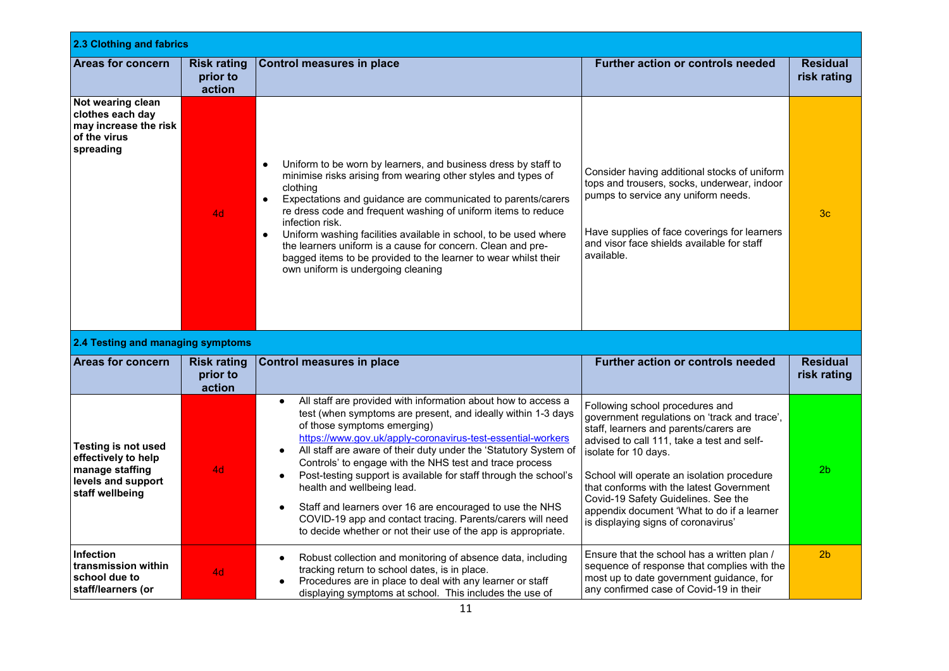| 2.3 Clothing and fabrics                                                                                      |                                          |                                                                                                                                                                                                                                                                                                                                                                                                                                                                                                                                                                                                                                                                                                             |                                                                                                                                                                                                                                                                                                                                                                                                                       |                                |  |
|---------------------------------------------------------------------------------------------------------------|------------------------------------------|-------------------------------------------------------------------------------------------------------------------------------------------------------------------------------------------------------------------------------------------------------------------------------------------------------------------------------------------------------------------------------------------------------------------------------------------------------------------------------------------------------------------------------------------------------------------------------------------------------------------------------------------------------------------------------------------------------------|-----------------------------------------------------------------------------------------------------------------------------------------------------------------------------------------------------------------------------------------------------------------------------------------------------------------------------------------------------------------------------------------------------------------------|--------------------------------|--|
| <b>Areas for concern</b>                                                                                      | <b>Risk rating</b><br>prior to<br>action | <b>Control measures in place</b>                                                                                                                                                                                                                                                                                                                                                                                                                                                                                                                                                                                                                                                                            | <b>Further action or controls needed</b>                                                                                                                                                                                                                                                                                                                                                                              | <b>Residual</b><br>risk rating |  |
| Not wearing clean<br>clothes each day<br>may increase the risk<br>of the virus<br>spreading                   | 4d                                       | Uniform to be worn by learners, and business dress by staff to<br>$\bullet$<br>minimise risks arising from wearing other styles and types of<br>clothing<br>Expectations and guidance are communicated to parents/carers<br>$\bullet$<br>re dress code and frequent washing of uniform items to reduce<br>infection risk.<br>Uniform washing facilities available in school, to be used where<br>$\bullet$<br>the learners uniform is a cause for concern. Clean and pre-<br>bagged items to be provided to the learner to wear whilst their<br>own uniform is undergoing cleaning                                                                                                                          | Consider having additional stocks of uniform<br>tops and trousers, socks, underwear, indoor<br>pumps to service any uniform needs.<br>Have supplies of face coverings for learners<br>and visor face shields available for staff<br>available.                                                                                                                                                                        | 3 <sub>c</sub>                 |  |
| 2.4 Testing and managing symptoms                                                                             |                                          |                                                                                                                                                                                                                                                                                                                                                                                                                                                                                                                                                                                                                                                                                                             |                                                                                                                                                                                                                                                                                                                                                                                                                       |                                |  |
| <b>Areas for concern</b>                                                                                      | <b>Risk rating</b><br>prior to<br>action | <b>Control measures in place</b>                                                                                                                                                                                                                                                                                                                                                                                                                                                                                                                                                                                                                                                                            | <b>Further action or controls needed</b>                                                                                                                                                                                                                                                                                                                                                                              | <b>Residual</b><br>risk rating |  |
| <b>Testing is not used</b><br>effectively to help<br>manage staffing<br>levels and support<br>staff wellbeing | 4d                                       | All staff are provided with information about how to access a<br>$\bullet$<br>test (when symptoms are present, and ideally within 1-3 days<br>of those symptoms emerging)<br>https://www.gov.uk/apply-coronavirus-test-essential-workers<br>All staff are aware of their duty under the 'Statutory System of<br>$\bullet$<br>Controls' to engage with the NHS test and trace process<br>Post-testing support is available for staff through the school's<br>$\bullet$<br>health and wellbeing lead.<br>Staff and learners over 16 are encouraged to use the NHS<br>$\bullet$<br>COVID-19 app and contact tracing. Parents/carers will need<br>to decide whether or not their use of the app is appropriate. | Following school procedures and<br>government regulations on 'track and trace',<br>staff, learners and parents/carers are<br>advised to call 111, take a test and self-<br>isolate for 10 days.<br>School will operate an isolation procedure<br>that conforms with the latest Government<br>Covid-19 Safety Guidelines. See the<br>appendix document 'What to do if a learner<br>is displaying signs of coronavirus' | 2 <sub>b</sub>                 |  |
| <b>Infection</b><br>transmission within<br>school due to<br>staff/learners (or                                | 4d                                       | Robust collection and monitoring of absence data, including<br>tracking return to school dates, is in place.<br>Procedures are in place to deal with any learner or staff<br>displaying symptoms at school. This includes the use of                                                                                                                                                                                                                                                                                                                                                                                                                                                                        | Ensure that the school has a written plan /<br>sequence of response that complies with the<br>most up to date government guidance, for<br>any confirmed case of Covid-19 in their                                                                                                                                                                                                                                     | 2 <sub>b</sub>                 |  |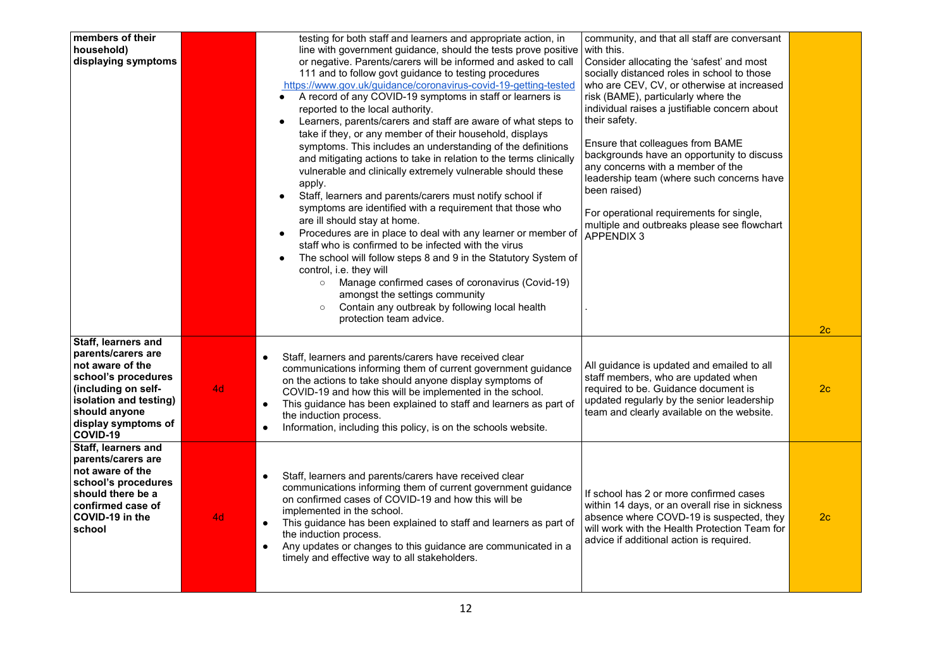| members of their<br>household)<br>displaying symptoms                                                                                                                                     |    | testing for both staff and learners and appropriate action, in<br>line with government guidance, should the tests prove positive<br>or negative. Parents/carers will be informed and asked to call<br>111 and to follow govt guidance to testing procedures<br>https://www.gov.uk/guidance/coronavirus-covid-19-getting-tested<br>A record of any COVID-19 symptoms in staff or learners is<br>reported to the local authority.<br>Learners, parents/carers and staff are aware of what steps to<br>$\bullet$<br>take if they, or any member of their household, displays<br>symptoms. This includes an understanding of the definitions<br>and mitigating actions to take in relation to the terms clinically<br>vulnerable and clinically extremely vulnerable should these<br>apply.<br>Staff, learners and parents/carers must notify school if<br>symptoms are identified with a requirement that those who<br>are ill should stay at home.<br>Procedures are in place to deal with any learner or member of<br>staff who is confirmed to be infected with the virus<br>The school will follow steps 8 and 9 in the Statutory System of<br>$\bullet$<br>control, i.e. they will<br>Manage confirmed cases of coronavirus (Covid-19)<br>$\circ$<br>amongst the settings community<br>Contain any outbreak by following local health<br>$\circ$<br>protection team advice. | community, and that all staff are conversant<br>with this.<br>Consider allocating the 'safest' and most<br>socially distanced roles in school to those<br>who are CEV, CV, or otherwise at increased<br>risk (BAME), particularly where the<br>individual raises a justifiable concern about<br>their safety.<br>Ensure that colleagues from BAME<br>backgrounds have an opportunity to discuss<br>any concerns with a member of the<br>leadership team (where such concerns have<br>been raised)<br>For operational requirements for single,<br>multiple and outbreaks please see flowchart<br><b>APPENDIX 3</b> |                                  |
|-------------------------------------------------------------------------------------------------------------------------------------------------------------------------------------------|----|-------------------------------------------------------------------------------------------------------------------------------------------------------------------------------------------------------------------------------------------------------------------------------------------------------------------------------------------------------------------------------------------------------------------------------------------------------------------------------------------------------------------------------------------------------------------------------------------------------------------------------------------------------------------------------------------------------------------------------------------------------------------------------------------------------------------------------------------------------------------------------------------------------------------------------------------------------------------------------------------------------------------------------------------------------------------------------------------------------------------------------------------------------------------------------------------------------------------------------------------------------------------------------------------------------------------------------------------------------------------------------|-------------------------------------------------------------------------------------------------------------------------------------------------------------------------------------------------------------------------------------------------------------------------------------------------------------------------------------------------------------------------------------------------------------------------------------------------------------------------------------------------------------------------------------------------------------------------------------------------------------------|----------------------------------|
| Staff, learners and<br>parents/carers are<br>not aware of the<br>school's procedures<br>(including on self-<br>isolation and testing)<br>should anyone<br>display symptoms of<br>COVID-19 | 4d | Staff, learners and parents/carers have received clear<br>$\bullet$<br>communications informing them of current government guidance<br>on the actions to take should anyone display symptoms of<br>COVID-19 and how this will be implemented in the school.<br>This guidance has been explained to staff and learners as part of<br>$\bullet$<br>the induction process.<br>Information, including this policy, is on the schools website.<br>$\bullet$                                                                                                                                                                                                                                                                                                                                                                                                                                                                                                                                                                                                                                                                                                                                                                                                                                                                                                                        | All guidance is updated and emailed to all<br>staff members, who are updated when<br>required to be. Guidance document is<br>updated regularly by the senior leadership<br>team and clearly available on the website.                                                                                                                                                                                                                                                                                                                                                                                             | 2 <sub>c</sub><br>2 <sub>c</sub> |
| Staff, learners and<br>parents/carers are<br>not aware of the<br>school's procedures<br>should there be a<br>confirmed case of<br>COVID-19 in the<br>school                               | 4d | $\bullet$<br>Staff, learners and parents/carers have received clear<br>communications informing them of current government guidance<br>on confirmed cases of COVID-19 and how this will be<br>implemented in the school.<br>This guidance has been explained to staff and learners as part of<br>$\bullet$<br>the induction process.<br>Any updates or changes to this guidance are communicated in a<br>$\bullet$<br>timely and effective way to all stakeholders.                                                                                                                                                                                                                                                                                                                                                                                                                                                                                                                                                                                                                                                                                                                                                                                                                                                                                                           | If school has 2 or more confirmed cases<br>within 14 days, or an overall rise in sickness<br>absence where COVD-19 is suspected, they<br>will work with the Health Protection Team for<br>advice if additional action is required.                                                                                                                                                                                                                                                                                                                                                                                | 2 <sub>c</sub>                   |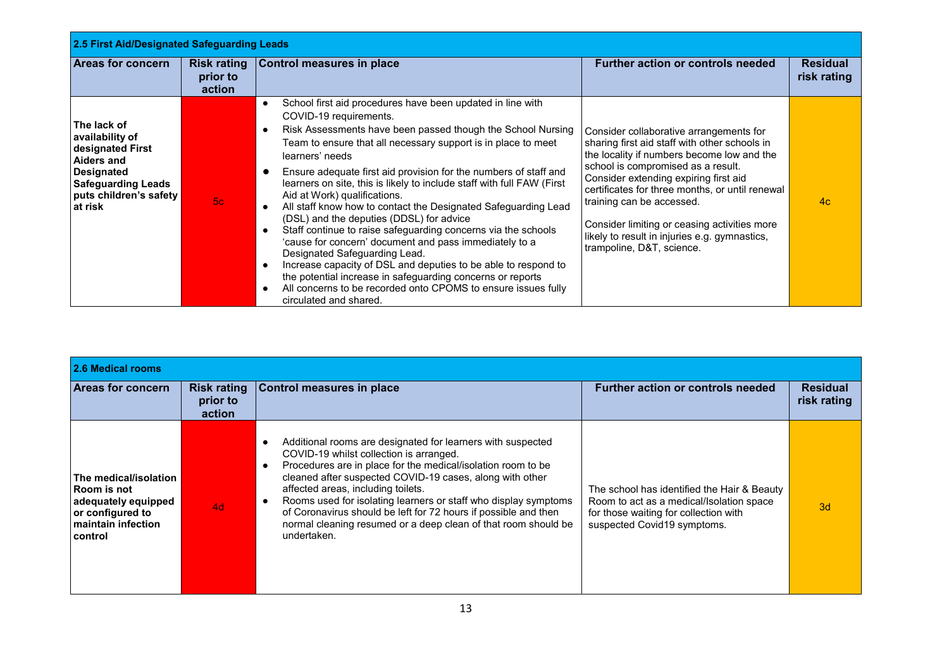| 2.5 First Aid/Designated Safeguarding Leads                                                                                                                    |                                          |                                                                                                                                                                                                                                                                                                                                                                                                                                                                                                                                                                                                                                                                                                                                                                                                                                                                                                                                                                                                                       |                                                                                                                                                                                                                                                                                                                                                                                                                                     |                                |  |
|----------------------------------------------------------------------------------------------------------------------------------------------------------------|------------------------------------------|-----------------------------------------------------------------------------------------------------------------------------------------------------------------------------------------------------------------------------------------------------------------------------------------------------------------------------------------------------------------------------------------------------------------------------------------------------------------------------------------------------------------------------------------------------------------------------------------------------------------------------------------------------------------------------------------------------------------------------------------------------------------------------------------------------------------------------------------------------------------------------------------------------------------------------------------------------------------------------------------------------------------------|-------------------------------------------------------------------------------------------------------------------------------------------------------------------------------------------------------------------------------------------------------------------------------------------------------------------------------------------------------------------------------------------------------------------------------------|--------------------------------|--|
| <b>Areas for concern</b>                                                                                                                                       | <b>Risk rating</b><br>prior to<br>action | Control measures in place                                                                                                                                                                                                                                                                                                                                                                                                                                                                                                                                                                                                                                                                                                                                                                                                                                                                                                                                                                                             | <b>Further action or controls needed</b>                                                                                                                                                                                                                                                                                                                                                                                            | <b>Residual</b><br>risk rating |  |
| The lack of<br>availability of<br>designated First<br><b>Aiders and</b><br><b>Designated</b><br><b>Safeguarding Leads</b><br>puts children's safety<br>at risk | 5c                                       | School first aid procedures have been updated in line with<br>$\bullet$<br>COVID-19 requirements.<br>Risk Assessments have been passed though the School Nursing<br>$\bullet$<br>Team to ensure that all necessary support is in place to meet<br>learners' needs<br>Ensure adequate first aid provision for the numbers of staff and<br>$\bullet$<br>learners on site, this is likely to include staff with full FAW (First<br>Aid at Work) qualifications.<br>All staff know how to contact the Designated Safeguarding Lead<br>$\bullet$<br>(DSL) and the deputies (DDSL) for advice<br>Staff continue to raise safeguarding concerns via the schools<br>$\bullet$<br>'cause for concern' document and pass immediately to a<br>Designated Safeguarding Lead.<br>Increase capacity of DSL and deputies to be able to respond to<br>$\bullet$<br>the potential increase in safeguarding concerns or reports<br>All concerns to be recorded onto CPOMS to ensure issues fully<br>$\bullet$<br>circulated and shared. | Consider collaborative arrangements for<br>sharing first aid staff with other schools in<br>the locality if numbers become low and the<br>school is compromised as a result.<br>Consider extending expiring first aid<br>certificates for three months, or until renewal<br>training can be accessed.<br>Consider limiting or ceasing activities more<br>likely to result in injuries e.g. gymnastics,<br>trampoline, D&T, science. | 4c                             |  |

| 2.6 Medical rooms                                                                                                          |                                          |                                                                                                                                                                                                                                                                                                                                                                                                                                                                                                                                        |                                                                                                                                                                 |                                |
|----------------------------------------------------------------------------------------------------------------------------|------------------------------------------|----------------------------------------------------------------------------------------------------------------------------------------------------------------------------------------------------------------------------------------------------------------------------------------------------------------------------------------------------------------------------------------------------------------------------------------------------------------------------------------------------------------------------------------|-----------------------------------------------------------------------------------------------------------------------------------------------------------------|--------------------------------|
| <b>Areas for concern</b>                                                                                                   | <b>Risk rating</b><br>prior to<br>action | <b>Control measures in place</b>                                                                                                                                                                                                                                                                                                                                                                                                                                                                                                       | <b>Further action or controls needed</b>                                                                                                                        | <b>Residual</b><br>risk rating |
| <b>The medical/isolation</b><br>l Room is not<br>adequately equipped<br>or configured to<br>maintain infection<br>∣control | 4d                                       | Additional rooms are designated for learners with suspected<br>$\bullet$<br>COVID-19 whilst collection is arranged.<br>Procedures are in place for the medical/isolation room to be<br>$\bullet$<br>cleaned after suspected COVID-19 cases, along with other<br>affected areas, including toilets.<br>Rooms used for isolating learners or staff who display symptoms<br>$\bullet$<br>of Coronavirus should be left for 72 hours if possible and then<br>normal cleaning resumed or a deep clean of that room should be<br>undertaken. | The school has identified the Hair & Beauty<br>Room to act as a medical/Isolation space<br>for those waiting for collection with<br>suspected Covid19 symptoms. | 3d                             |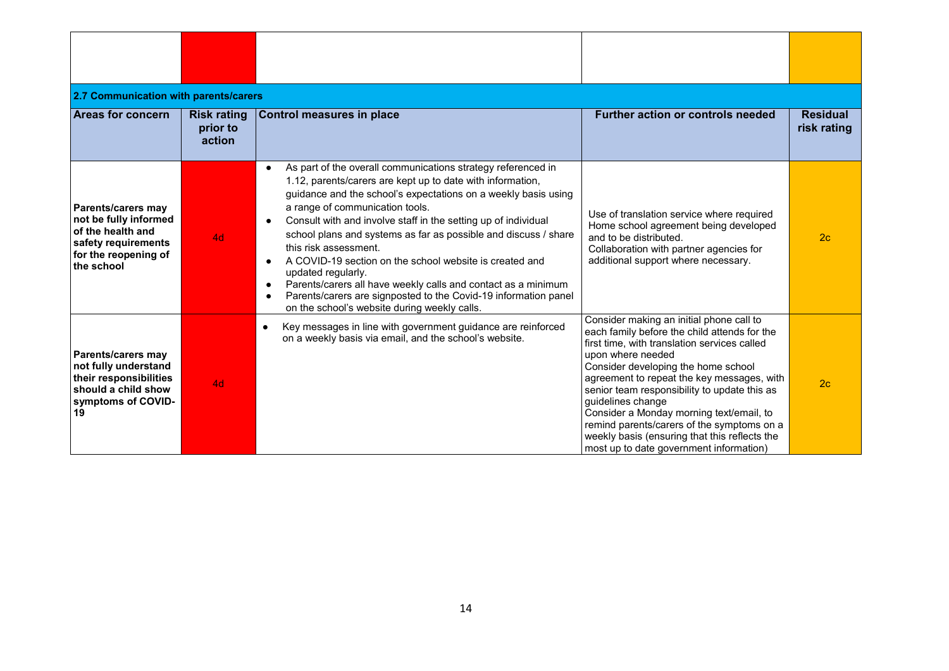| 2.7 Communication with parents/carers<br><b>Areas for concern</b>                                                             | <b>Risk rating</b><br>prior to<br>action | <b>Control measures in place</b>                                                                                                                                                                                                                                                                                                                                                                                                                                                                                                                                                                                                                                                | <b>Further action or controls needed</b>                                                                                                                                                                                                                                                                                                                                                                                                                                                                      | <b>Residual</b><br>risk rating |
|-------------------------------------------------------------------------------------------------------------------------------|------------------------------------------|---------------------------------------------------------------------------------------------------------------------------------------------------------------------------------------------------------------------------------------------------------------------------------------------------------------------------------------------------------------------------------------------------------------------------------------------------------------------------------------------------------------------------------------------------------------------------------------------------------------------------------------------------------------------------------|---------------------------------------------------------------------------------------------------------------------------------------------------------------------------------------------------------------------------------------------------------------------------------------------------------------------------------------------------------------------------------------------------------------------------------------------------------------------------------------------------------------|--------------------------------|
| Parents/carers may<br>not be fully informed<br>of the health and<br>safety requirements<br>for the reopening of<br>the school | 4d                                       | As part of the overall communications strategy referenced in<br>$\bullet$<br>1.12, parents/carers are kept up to date with information,<br>guidance and the school's expectations on a weekly basis using<br>a range of communication tools.<br>Consult with and involve staff in the setting up of individual<br>school plans and systems as far as possible and discuss / share<br>this risk assessment.<br>A COVID-19 section on the school website is created and<br>updated regularly.<br>Parents/carers all have weekly calls and contact as a minimum<br>Parents/carers are signposted to the Covid-19 information panel<br>on the school's website during weekly calls. | Use of translation service where required<br>Home school agreement being developed<br>and to be distributed.<br>Collaboration with partner agencies for<br>additional support where necessary.                                                                                                                                                                                                                                                                                                                | 2 <sub>c</sub>                 |
| Parents/carers may<br>not fully understand<br>their responsibilities<br>should a child show<br>symptoms of COVID-<br>19       | 4d                                       | Key messages in line with government guidance are reinforced<br>$\bullet$<br>on a weekly basis via email, and the school's website.                                                                                                                                                                                                                                                                                                                                                                                                                                                                                                                                             | Consider making an initial phone call to<br>each family before the child attends for the<br>first time, with translation services called<br>upon where needed<br>Consider developing the home school<br>agreement to repeat the key messages, with<br>senior team responsibility to update this as<br>guidelines change<br>Consider a Monday morning text/email, to<br>remind parents/carers of the symptoms on a<br>weekly basis (ensuring that this reflects the<br>most up to date government information) | 2 <sub>c</sub>                 |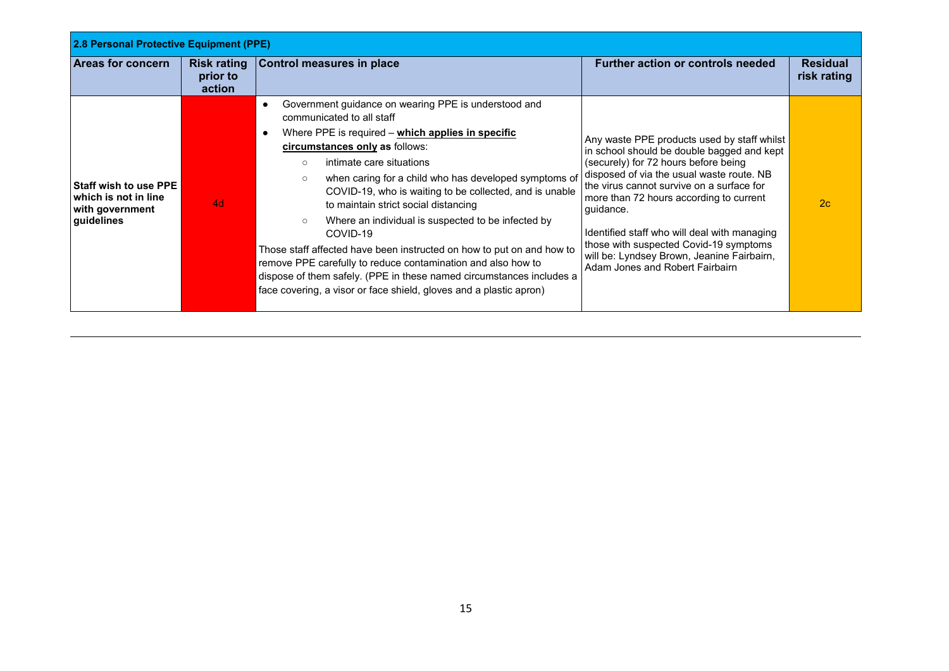| 2.8 Personal Protective Equipment (PPE)                                               |                                          |                                                                                                                                                                                                                                                                                                                                                                                                                                                                                                                                                                                                                                                                                                                                                                                      |                                                                                                                                                                                                                                                                                                                                                                                                                                                                       |                                |  |
|---------------------------------------------------------------------------------------|------------------------------------------|--------------------------------------------------------------------------------------------------------------------------------------------------------------------------------------------------------------------------------------------------------------------------------------------------------------------------------------------------------------------------------------------------------------------------------------------------------------------------------------------------------------------------------------------------------------------------------------------------------------------------------------------------------------------------------------------------------------------------------------------------------------------------------------|-----------------------------------------------------------------------------------------------------------------------------------------------------------------------------------------------------------------------------------------------------------------------------------------------------------------------------------------------------------------------------------------------------------------------------------------------------------------------|--------------------------------|--|
| <b>Areas for concern</b>                                                              | <b>Risk rating</b><br>prior to<br>action | Control measures in place                                                                                                                                                                                                                                                                                                                                                                                                                                                                                                                                                                                                                                                                                                                                                            | <b>Further action or controls needed</b>                                                                                                                                                                                                                                                                                                                                                                                                                              | <b>Residual</b><br>risk rating |  |
| <b>Staff wish to use PPE</b><br>which is not in line<br>with government<br>guidelines | 4d                                       | Government guidance on wearing PPE is understood and<br>$\bullet$<br>communicated to all staff<br>Where PPE is required – which applies in specific<br>$\bullet$<br>circumstances only as follows:<br>intimate care situations<br>$\circ$<br>when caring for a child who has developed symptoms of<br>$\circ$<br>COVID-19, who is waiting to be collected, and is unable<br>to maintain strict social distancing<br>Where an individual is suspected to be infected by<br>$\circ$<br>COVID-19<br>Those staff affected have been instructed on how to put on and how to<br>remove PPE carefully to reduce contamination and also how to<br>dispose of them safely. (PPE in these named circumstances includes a<br>face covering, a visor or face shield, gloves and a plastic apron) | Any waste PPE products used by staff whilst<br>in school should be double bagged and kept<br>(securely) for 72 hours before being<br>disposed of via the usual waste route. NB<br>the virus cannot survive on a surface for<br>more than 72 hours according to current<br>quidance.<br>Identified staff who will deal with managing<br>those with suspected Covid-19 symptoms<br>will be: Lyndsey Brown, Jeanine Fairbairn,<br><b>Adam Jones and Robert Fairbairn</b> | 2c                             |  |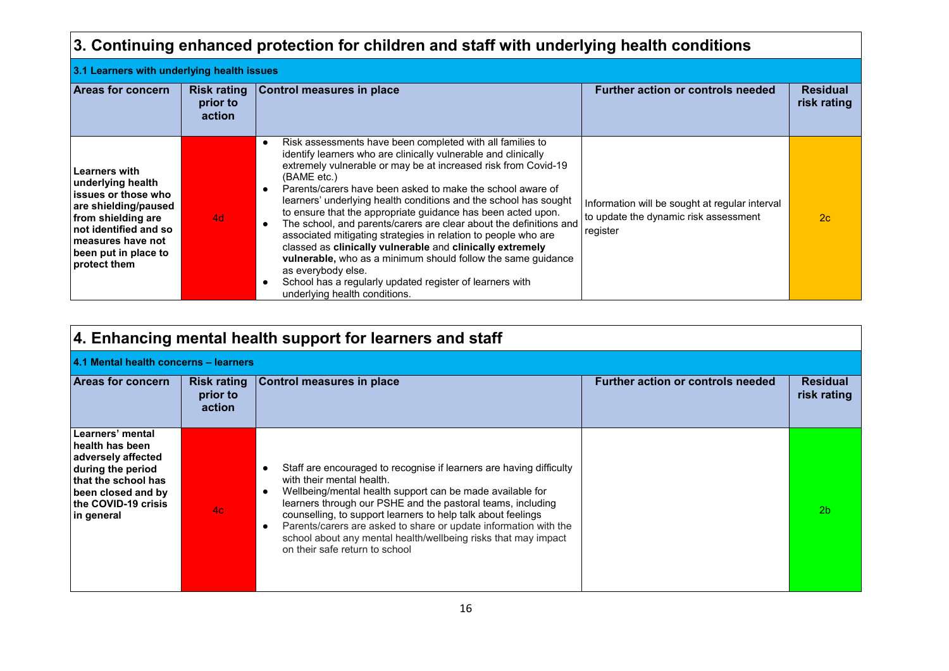#### **3. Continuing enhanced protection for children and staff with underlying health conditions 3.1 Learners with underlying health issues Areas for concern** | Risk rating **prior to action Control measures in place <b>Function Further action or controls needed Residual**  Residual **risk rating Learners with underlying health issues or those who are shielding/paused from shielding are not identified and so measures have not been put in place to protect them** 4d ● Risk assessments have been completed with all families to identify learners who are clinically vulnerable and clinically extremely vulnerable or may be at increased risk from Covid-19 (BAME etc.) ● Parents/carers have been asked to make the school aware of learners' underlying health conditions and the school has sought to ensure that the appropriate guidance has been acted upon. ● The school, and parents/carers are clear about the definitions and associated mitigating strategies in relation to people who are classed as **clinically vulnerable** and **clinically extremely vulnerable,** who as a minimum should follow the same guidance as everybody else. ● School has a regularly updated register of learners with Information will be sought at regular interval to update the dynamic risk assessment register  $2c$

|                                                                                                                                                                  |                                          | underlying health conditions.                                                                                                                                                                                                                                                                                                                                                                                                                                                                  |                                          |                         |
|------------------------------------------------------------------------------------------------------------------------------------------------------------------|------------------------------------------|------------------------------------------------------------------------------------------------------------------------------------------------------------------------------------------------------------------------------------------------------------------------------------------------------------------------------------------------------------------------------------------------------------------------------------------------------------------------------------------------|------------------------------------------|-------------------------|
|                                                                                                                                                                  |                                          | 4. Enhancing mental health support for learners and staff                                                                                                                                                                                                                                                                                                                                                                                                                                      |                                          |                         |
| 4.1 Mental health concerns - learners                                                                                                                            |                                          |                                                                                                                                                                                                                                                                                                                                                                                                                                                                                                |                                          |                         |
| <b>Areas for concern</b>                                                                                                                                         | <b>Risk rating</b><br>prior to<br>action | Control measures in place                                                                                                                                                                                                                                                                                                                                                                                                                                                                      | <b>Further action or controls needed</b> | Residual<br>risk rating |
| Learners' mental<br>health has been<br>adversely affected<br>during the period<br>that the school has<br>been closed and by<br>the COVID-19 crisis<br>in general | 4 <sub>c</sub>                           | Staff are encouraged to recognise if learners are having difficulty<br>with their mental health.<br>Wellbeing/mental health support can be made available for<br>$\bullet$<br>learners through our PSHE and the pastoral teams, including<br>counselling, to support learners to help talk about feelings<br>Parents/carers are asked to share or update information with the<br>$\bullet$<br>school about any mental health/wellbeing risks that may impact<br>on their safe return to school |                                          | 2 <sub>b</sub>          |
|                                                                                                                                                                  |                                          | 1C                                                                                                                                                                                                                                                                                                                                                                                                                                                                                             |                                          |                         |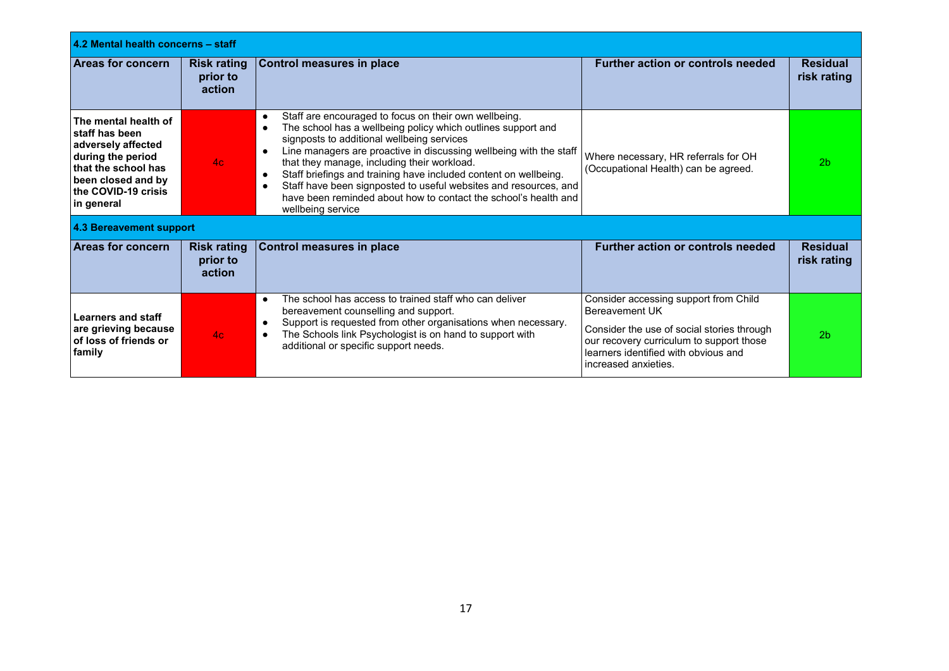| 4.2 Mental health concerns - staff                                                                                                                                     |                                          |                                                                                                                                                                                                                                                                                                                                                                                                                                                                                                                                                                                           |                                                                                                                                                                                                                   |                                |  |
|------------------------------------------------------------------------------------------------------------------------------------------------------------------------|------------------------------------------|-------------------------------------------------------------------------------------------------------------------------------------------------------------------------------------------------------------------------------------------------------------------------------------------------------------------------------------------------------------------------------------------------------------------------------------------------------------------------------------------------------------------------------------------------------------------------------------------|-------------------------------------------------------------------------------------------------------------------------------------------------------------------------------------------------------------------|--------------------------------|--|
| <b>Areas for concern</b>                                                                                                                                               | <b>Risk rating</b><br>prior to<br>action | Control measures in place                                                                                                                                                                                                                                                                                                                                                                                                                                                                                                                                                                 | <b>Further action or controls needed</b>                                                                                                                                                                          | <b>Residual</b><br>risk rating |  |
| The mental health of<br>l staff has been<br>adversely affected<br>during the period<br>that the school has<br>been closed and by<br>the COVID-19 crisis <br>in general | 4c                                       | Staff are encouraged to focus on their own wellbeing.<br>$\bullet$<br>The school has a wellbeing policy which outlines support and<br>$\bullet$<br>signposts to additional wellbeing services<br>Line managers are proactive in discussing wellbeing with the staff<br>$\bullet$<br>that they manage, including their workload.<br>Staff briefings and training have included content on wellbeing.<br>$\bullet$<br>Staff have been signposted to useful websites and resources, and<br>$\bullet$<br>have been reminded about how to contact the school's health and<br>wellbeing service | Where necessary, HR referrals for OH<br>(Occupational Health) can be agreed.                                                                                                                                      | 2 <sub>b</sub>                 |  |
| 4.3 Bereavement support                                                                                                                                                |                                          |                                                                                                                                                                                                                                                                                                                                                                                                                                                                                                                                                                                           |                                                                                                                                                                                                                   |                                |  |
| <b>Areas for concern</b>                                                                                                                                               | <b>Risk rating</b><br>prior to<br>action | Control measures in place                                                                                                                                                                                                                                                                                                                                                                                                                                                                                                                                                                 | <b>Further action or controls needed</b>                                                                                                                                                                          | <b>Residual</b><br>risk rating |  |
| Learners and staff<br>are grieving because<br>of loss of friends or<br>  family                                                                                        | 4 <sub>c</sub>                           | The school has access to trained staff who can deliver<br>$\bullet$<br>bereavement counselling and support.<br>Support is requested from other organisations when necessary.<br>$\bullet$<br>The Schools link Psychologist is on hand to support with<br>$\bullet$<br>additional or specific support needs.                                                                                                                                                                                                                                                                               | Consider accessing support from Child<br>Bereavement UK<br>Consider the use of social stories through<br>our recovery curriculum to support those<br>learners identified with obvious and<br>increased anxieties. | 2 <sub>b</sub>                 |  |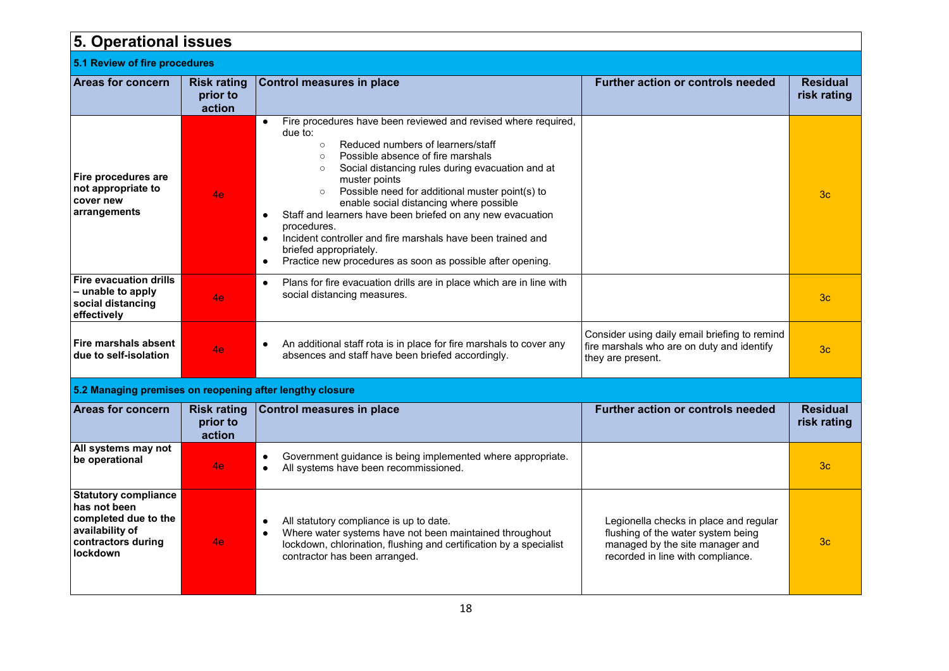| <b>5. Operational issues</b>                                                                                             |                                          |                                                                                                                                                                                                                                                                                                                                                                                                                                                                                                                                                                                                                                                            |                                                                                                                                                      |                                |
|--------------------------------------------------------------------------------------------------------------------------|------------------------------------------|------------------------------------------------------------------------------------------------------------------------------------------------------------------------------------------------------------------------------------------------------------------------------------------------------------------------------------------------------------------------------------------------------------------------------------------------------------------------------------------------------------------------------------------------------------------------------------------------------------------------------------------------------------|------------------------------------------------------------------------------------------------------------------------------------------------------|--------------------------------|
| 5.1 Review of fire procedures                                                                                            |                                          |                                                                                                                                                                                                                                                                                                                                                                                                                                                                                                                                                                                                                                                            |                                                                                                                                                      |                                |
| Areas for concern                                                                                                        | <b>Risk rating</b><br>prior to<br>action | <b>Control measures in place</b>                                                                                                                                                                                                                                                                                                                                                                                                                                                                                                                                                                                                                           | <b>Further action or controls needed</b>                                                                                                             | <b>Residual</b><br>risk rating |
| Fire procedures are<br>not appropriate to<br>cover new<br>arrangements                                                   | 4e                                       | Fire procedures have been reviewed and revised where required,<br>$\bullet$<br>due to:<br>Reduced numbers of learners/staff<br>$\circ$<br>Possible absence of fire marshals<br>$\circ$<br>Social distancing rules during evacuation and at<br>$\circ$<br>muster points<br>Possible need for additional muster point(s) to<br>$\circ$<br>enable social distancing where possible<br>Staff and learners have been briefed on any new evacuation<br>$\bullet$<br>procedures.<br>Incident controller and fire marshals have been trained and<br>$\bullet$<br>briefed appropriately.<br>Practice new procedures as soon as possible after opening.<br>$\bullet$ |                                                                                                                                                      | 3c                             |
| <b>Fire evacuation drills</b><br>- unable to apply<br>social distancing<br>effectively                                   | 4e                                       | Plans for fire evacuation drills are in place which are in line with<br>$\bullet$<br>social distancing measures.                                                                                                                                                                                                                                                                                                                                                                                                                                                                                                                                           |                                                                                                                                                      | 3 <sub>c</sub>                 |
| Fire marshals absent<br>due to self-isolation                                                                            | 4e.                                      | An additional staff rota is in place for fire marshals to cover any<br>$\bullet$<br>absences and staff have been briefed accordingly.                                                                                                                                                                                                                                                                                                                                                                                                                                                                                                                      | Consider using daily email briefing to remind<br>fire marshals who are on duty and identify<br>they are present.                                     | 3 <sub>c</sub>                 |
| 5.2 Managing premises on reopening after lengthy closure                                                                 |                                          |                                                                                                                                                                                                                                                                                                                                                                                                                                                                                                                                                                                                                                                            |                                                                                                                                                      |                                |
| <b>Areas for concern</b>                                                                                                 | <b>Risk rating</b><br>prior to<br>action | <b>Control measures in place</b>                                                                                                                                                                                                                                                                                                                                                                                                                                                                                                                                                                                                                           | <b>Further action or controls needed</b>                                                                                                             | <b>Residual</b><br>risk rating |
| All systems may not<br>be operational                                                                                    | 4e.                                      | Government guidance is being implemented where appropriate.<br>$\bullet$<br>All systems have been recommissioned.<br>$\bullet$                                                                                                                                                                                                                                                                                                                                                                                                                                                                                                                             |                                                                                                                                                      | 3 <sub>c</sub>                 |
| <b>Statutory compliance</b><br>has not been<br>completed due to the<br>availability of<br>contractors during<br>lockdown | 4e                                       | All statutory compliance is up to date.<br>$\bullet$<br>Where water systems have not been maintained throughout<br>$\bullet$<br>lockdown, chlorination, flushing and certification by a specialist<br>contractor has been arranged.                                                                                                                                                                                                                                                                                                                                                                                                                        | Legionella checks in place and regular<br>flushing of the water system being<br>managed by the site manager and<br>recorded in line with compliance. | 3 <sub>c</sub>                 |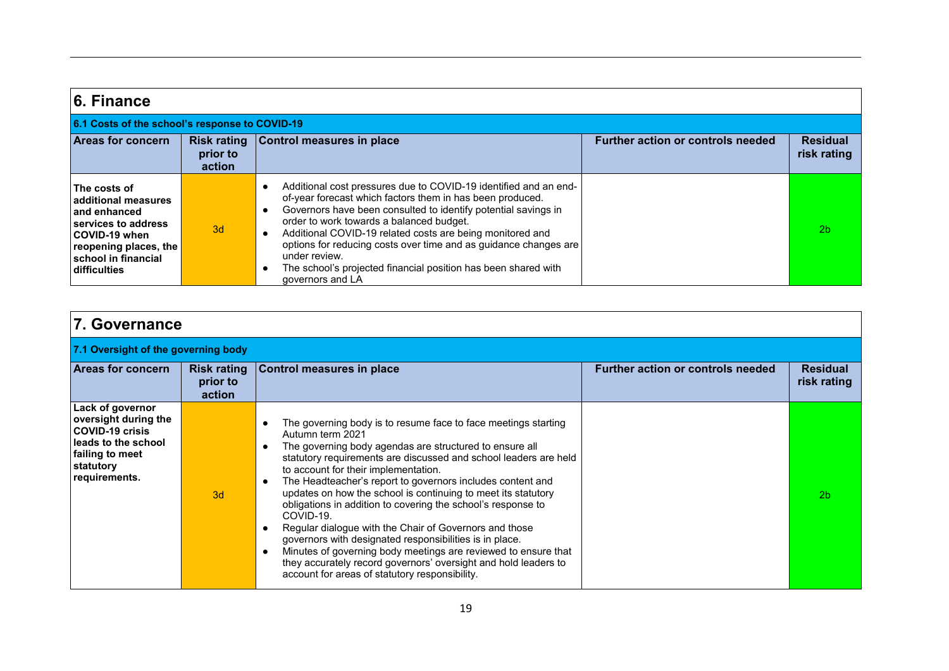| 6. Finance                                                                                                                                                         |                                          |                                                                                                                                                                                                                                                                                                                                                                                                                                                                                                                                         |                                          |                                |
|--------------------------------------------------------------------------------------------------------------------------------------------------------------------|------------------------------------------|-----------------------------------------------------------------------------------------------------------------------------------------------------------------------------------------------------------------------------------------------------------------------------------------------------------------------------------------------------------------------------------------------------------------------------------------------------------------------------------------------------------------------------------------|------------------------------------------|--------------------------------|
| 6.1 Costs of the school's response to COVID-19                                                                                                                     |                                          |                                                                                                                                                                                                                                                                                                                                                                                                                                                                                                                                         |                                          |                                |
| <b>Areas for concern</b>                                                                                                                                           | <b>Risk rating</b><br>prior to<br>action | Control measures in place                                                                                                                                                                                                                                                                                                                                                                                                                                                                                                               | <b>Further action or controls needed</b> | <b>Residual</b><br>risk rating |
| The costs of<br>additional measures<br>and enhanced<br>services to address<br>COVID-19 when<br>reopening places, the<br>school in financial<br><b>difficulties</b> | 3d                                       | Additional cost pressures due to COVID-19 identified and an end-<br>$\bullet$<br>of-year forecast which factors them in has been produced.<br>Governors have been consulted to identify potential savings in<br>$\bullet$<br>order to work towards a balanced budget.<br>Additional COVID-19 related costs are being monitored and<br>$\bullet$<br>options for reducing costs over time and as guidance changes are<br>under review.<br>The school's projected financial position has been shared with<br>$\bullet$<br>governors and LA |                                          | 2 <sub>b</sub>                 |

| 7. Governance                                                                                                                              |                                          |                                                                                                                                                                                                                                                                                                                                                                                                                                                                                                                                                                                                                                                                                                                                                                                                             |                                          |                                |  |
|--------------------------------------------------------------------------------------------------------------------------------------------|------------------------------------------|-------------------------------------------------------------------------------------------------------------------------------------------------------------------------------------------------------------------------------------------------------------------------------------------------------------------------------------------------------------------------------------------------------------------------------------------------------------------------------------------------------------------------------------------------------------------------------------------------------------------------------------------------------------------------------------------------------------------------------------------------------------------------------------------------------------|------------------------------------------|--------------------------------|--|
| 7.1 Oversight of the governing body                                                                                                        |                                          |                                                                                                                                                                                                                                                                                                                                                                                                                                                                                                                                                                                                                                                                                                                                                                                                             |                                          |                                |  |
| <b>Areas for concern</b>                                                                                                                   | <b>Risk rating</b><br>prior to<br>action | <b>Control measures in place</b>                                                                                                                                                                                                                                                                                                                                                                                                                                                                                                                                                                                                                                                                                                                                                                            | <b>Further action or controls needed</b> | <b>Residual</b><br>risk rating |  |
| Lack of governor<br>oversight during the<br><b>COVID-19 crisis</b><br>leads to the school<br>failing to meet<br>statutory<br>requirements. | 3d                                       | The governing body is to resume face to face meetings starting<br>Autumn term 2021<br>The governing body agendas are structured to ensure all<br>statutory requirements are discussed and school leaders are held<br>to account for their implementation.<br>The Headteacher's report to governors includes content and<br>$\bullet$<br>updates on how the school is continuing to meet its statutory<br>obligations in addition to covering the school's response to<br>COVID-19.<br>Regular dialogue with the Chair of Governors and those<br>governors with designated responsibilities is in place.<br>Minutes of governing body meetings are reviewed to ensure that<br>$\bullet$<br>they accurately record governors' oversight and hold leaders to<br>account for areas of statutory responsibility. |                                          | 2 <sub>b</sub>                 |  |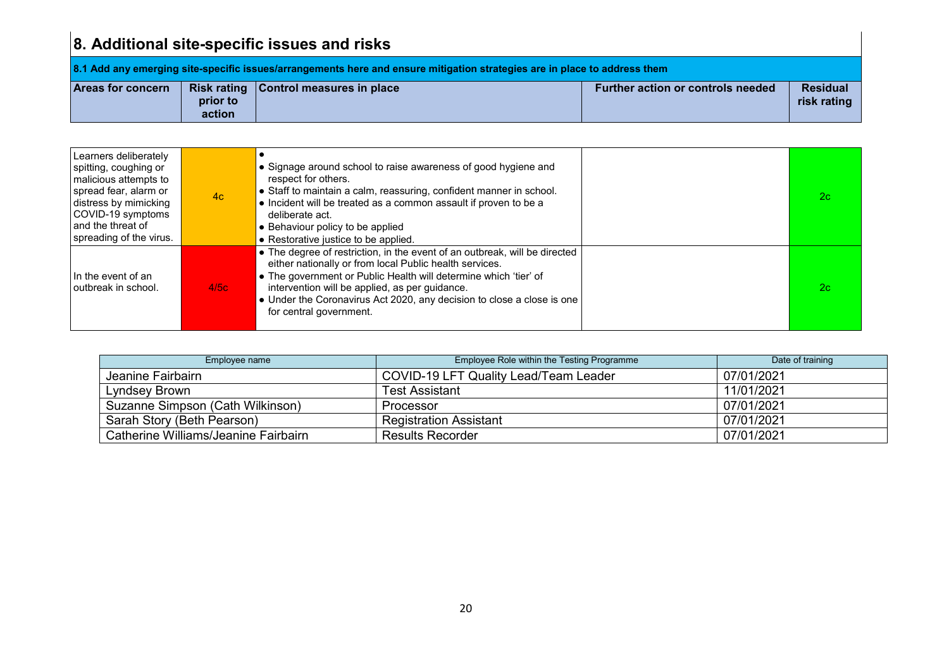# **8. Additional site-specific issues and risks**

| 8.1 Add any emerging site-specific issues/arrangements here and ensure mitigation strategies are in place to address them |                    |                                         |                                   |                                |  |
|---------------------------------------------------------------------------------------------------------------------------|--------------------|-----------------------------------------|-----------------------------------|--------------------------------|--|
| <b>Areas for concern</b>                                                                                                  | prior to<br>action | Risk rating   Control measures in place | Further action or controls needed | <b>Residual</b><br>risk rating |  |

| Learners deliberately<br>spitting, coughing or<br>malicious attempts to<br>spread fear, alarm or<br>distress by mimicking<br>COVID-19 symptoms<br>and the threat of<br>spreading of the virus. | 4c   | • Signage around school to raise awareness of good hygiene and<br>respect for others.<br>• Staff to maintain a calm, reassuring, confident manner in school.<br>• Incident will be treated as a common assault if proven to be a<br>deliberate act.<br>• Behaviour policy to be applied<br>• Restorative justice to be applied.                                  | 2c |
|------------------------------------------------------------------------------------------------------------------------------------------------------------------------------------------------|------|------------------------------------------------------------------------------------------------------------------------------------------------------------------------------------------------------------------------------------------------------------------------------------------------------------------------------------------------------------------|----|
| In the event of an<br>l outbreak in school.                                                                                                                                                    | 4/5c | • The degree of restriction, in the event of an outbreak, will be directed<br>either nationally or from local Public health services.<br>• The government or Public Health will determine which 'tier' of<br>intervention will be applied, as per guidance.<br>• Under the Coronavirus Act 2020, any decision to close a close is one<br>for central government. | 2c |

| Employee name                        | Employee Role within the Testing Programme | Date of training |
|--------------------------------------|--------------------------------------------|------------------|
| Jeanine Fairbairn                    | COVID-19 LFT Quality Lead/Team Leader      | 07/01/2021       |
| Lyndsey Brown                        | Test Assistant                             | 11/01/2021       |
| Suzanne Simpson (Cath Wilkinson)     | Processor                                  | 07/01/2021       |
| Sarah Story (Beth Pearson)           | <b>Registration Assistant</b>              | 07/01/2021       |
| Catherine Williams/Jeanine Fairbairn | <b>Results Recorder</b>                    | 07/01/2021       |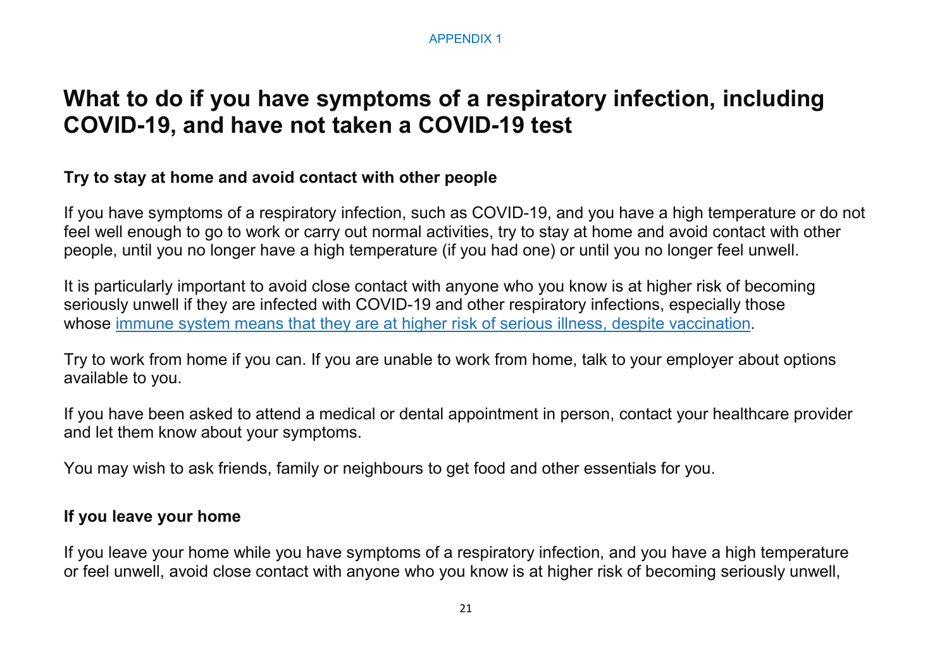#### APPENDIX 1

### **What to do if you have symptoms of a respiratory infection, including COVID-19, and have not taken a COVID-19 test**

### **Try to stay at home and avoid contact with other people**

If you have symptoms of a respiratory infection, such as COVID-19, and you have a high temperature or do not feel well enough to go to work or carry out normal activities, try to stay at home and avoid contact with other people, until you no longer have a high temperature (if you had one) or until you no longer feel unwell.

It is particularly important to avoid close contact with anyone who you know is at higher risk of becoming seriously unwell if they are infected with COVID-19 and other respiratory infections, especially those whose [immune system means that they are at higher risk of serious illness, despite vaccination.](https://www.gov.uk/government/publications/covid-19-guidance-for-people-whose-immune-system-means-they-are-at-higher-risk)

Try to work from home if you can. If you are unable to work from home, talk to your employer about options available to you.

If you have been asked to attend a medical or dental appointment in person, contact your healthcare provider and let them know about your symptoms.

You may wish to ask friends, family or neighbours to get food and other essentials for you.

### **If you leave your home**

If you leave your home while you have symptoms of a respiratory infection, and you have a high temperature or feel unwell, avoid close contact with anyone who you know is at higher risk of becoming seriously unwell,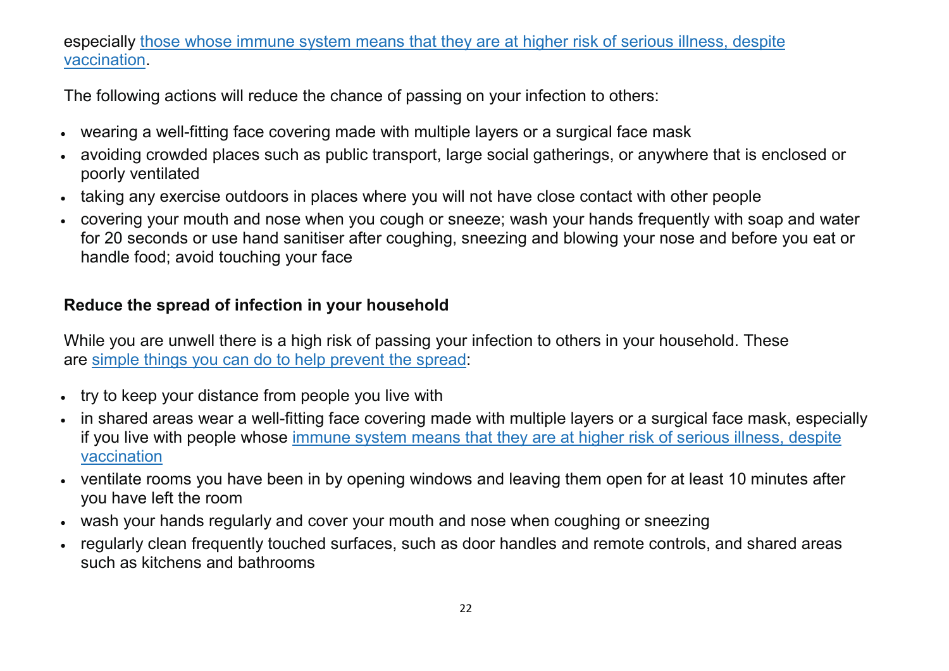### especially [those whose immune system means that they are at higher risk of serious illness, despite](https://www.gov.uk/government/publications/covid-19-guidance-for-people-whose-immune-system-means-they-are-at-higher-risk)  [vaccination.](https://www.gov.uk/government/publications/covid-19-guidance-for-people-whose-immune-system-means-they-are-at-higher-risk)

The following actions will reduce the chance of passing on your infection to others:

- wearing a well-fitting face covering made with multiple layers or a surgical face mask
- avoiding crowded places such as public transport, large social gatherings, or anywhere that is enclosed or poorly ventilated
- taking any exercise outdoors in places where you will not have close contact with other people
- covering your mouth and nose when you cough or sneeze; wash your hands frequently with soap and water for 20 seconds or use hand sanitiser after coughing, sneezing and blowing your nose and before you eat or handle food; avoid touching your face

### **Reduce the spread of infection in your household**

While you are unwell there is a high risk of passing your infection to others in your household. These are [simple things you can do to help prevent the spread:](https://assets.publishing.service.gov.uk/government/uploads/system/uploads/attachment_data/file/1065735/AG232_Safe_at_home_infographic.pdf)

- try to keep your distance from people you live with
- in shared areas wear a well-fitting face covering made with multiple layers or a surgical face mask, especially if you live with people whose [immune system means that they are at higher risk of serious illness, despite](https://www.gov.uk/government/publications/covid-19-guidance-for-people-whose-immune-system-means-they-are-at-higher-risk)  [vaccination](https://www.gov.uk/government/publications/covid-19-guidance-for-people-whose-immune-system-means-they-are-at-higher-risk)
- ventilate rooms you have been in by opening windows and leaving them open for at least 10 minutes after you have left the room
- wash your hands regularly and cover your mouth and nose when coughing or sneezing
- regularly clean frequently touched surfaces, such as door handles and remote controls, and shared areas such as kitchens and bathrooms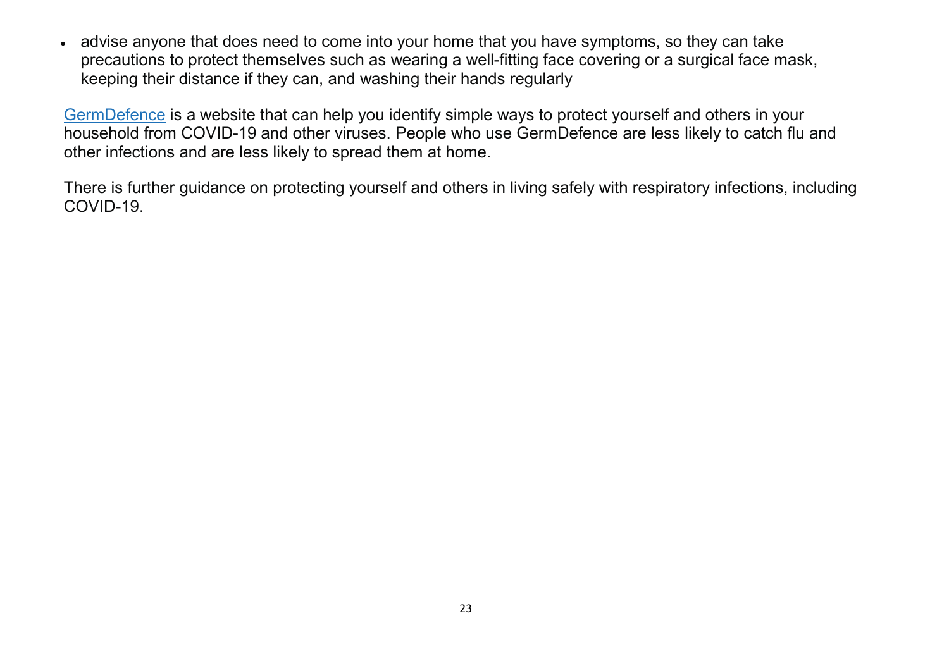• advise anyone that does need to come into your home that you have symptoms, so they can take precautions to protect themselves such as wearing a well-fitting face covering or a surgical face mask, keeping their distance if they can, and washing their hands regularly

[GermDefence](https://www.germdefence.org/) is a website that can help you identify simple ways to protect yourself and others in your household from COVID-19 and other viruses. People who use GermDefence are less likely to catch flu and other infections and are less likely to spread them at home.

There is further guidance on protecting yourself and others in living safely with respiratory infections, including COVID-19.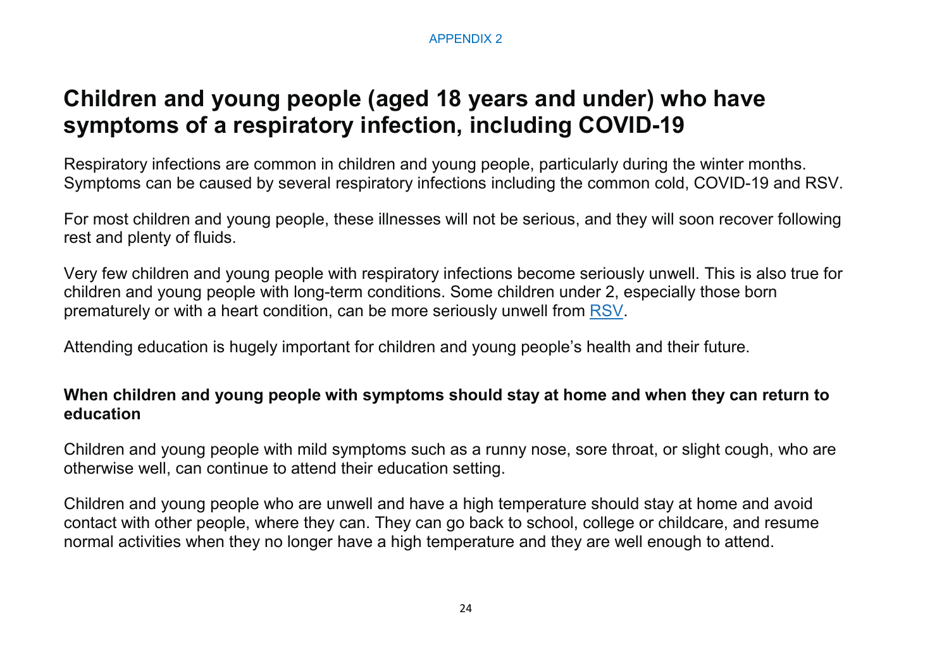# **Children and young people (aged 18 years and under) who have symptoms of a respiratory infection, including COVID-19**

Respiratory infections are common in children and young people, particularly during the winter months. Symptoms can be caused by several respiratory infections including the common cold, COVID-19 and RSV.

For most children and young people, these illnesses will not be serious, and they will soon recover following rest and plenty of fluids.

Very few children and young people with respiratory infections become seriously unwell. This is also true for children and young people with long-term conditions. Some children under 2, especially those born prematurely or with a heart condition, can be more seriously unwell from [RSV.](https://www.nhs.uk/conditions/bronchiolitis/)

Attending education is hugely important for children and young people's health and their future.

#### **When children and young people with symptoms should stay at home and when they can return to education**

Children and young people with mild symptoms such as a runny nose, sore throat, or slight cough, who are otherwise well, can continue to attend their education setting.

Children and young people who are unwell and have a high temperature should stay at home and avoid contact with other people, where they can. They can go back to school, college or childcare, and resume normal activities when they no longer have a high temperature and they are well enough to attend.